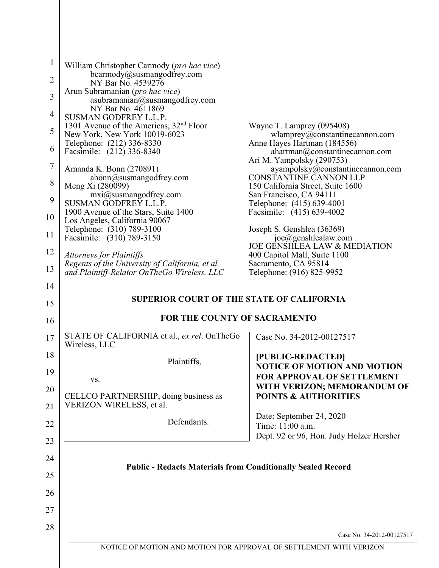| $\mathbf{1}$   | William Christopher Carmody (pro hac vice)                                           |                                                                                              |
|----------------|--------------------------------------------------------------------------------------|----------------------------------------------------------------------------------------------|
| $\overline{2}$ | bcarmody@susmangodfrey.com<br>NY Bar No. 4539276                                     |                                                                                              |
| 3              | Arun Subramanian ( <i>pro hac vice</i> )<br>asubramanian@susmangodfrey.com           |                                                                                              |
| 4              | NY Bar No. 4611869<br><b>SUSMAN GODFREY L.L.P.</b>                                   |                                                                                              |
| 5              | 1301 Avenue of the Americas, 32 <sup>nd</sup> Floor<br>New York, New York 10019-6023 | Wayne T. Lamprey (095408)<br>$w$ lamprey@constantinecannon.com                               |
| 6              | Telephone: (212) 336-8330<br>Facsimile: (212) 336-8340                               | Anne Hayes Hartman (184556)<br>ahartman@constantinecannon.com                                |
| $\overline{7}$ | Amanda K. Bonn (270891)                                                              | Ari M. Yampolsky (290753)<br>ayampolsky@constantinecannon.com                                |
| 8              | abonn@susmangodfrey.com<br>Meng Xi (280099)                                          | <b>CONSTANTINE CANNON LLP</b><br>150 California Street, Suite 1600                           |
| 9              | mxi@susmangodfrey.com<br>SUSMAN GODFREY L.L.P.                                       | San Francisco, CA 94111<br>Telephone: (415) 639-4001                                         |
| 10             | 1900 Avenue of the Stars, Suite 1400<br>Los Angeles, California 90067                | Facsimile: (415) 639-4002                                                                    |
| 11             | Telephone: (310) 789-3100<br>Facsimile: (310) 789-3150                               | Joseph S. Genshlea (36369)<br>joe@genshlealaw.com<br><b>JOE GENSHLEA LAW &amp; MEDIATION</b> |
| 12             | <b>Attorneys for Plaintiffs</b><br>Regents of the University of California, et al.   | 400 Capitol Mall, Suite 1100<br>Sacramento, CA 95814                                         |
| 13             | and Plaintiff-Relator OnTheGo Wireless, LLC                                          | Telephone: (916) 825-9952                                                                    |
| 14             | <b>SUPERIOR COURT OF THE STATE OF CALIFORNIA</b>                                     |                                                                                              |
| 15             | FOR THE COUNTY OF SACRAMENTO                                                         |                                                                                              |
| 16             | STATE OF CALIFORNIA et al., ex rel. OnTheGo                                          |                                                                                              |
| 17             | Wireless, LLC                                                                        | Case No. 34-2012-00127517                                                                    |
| 18             | Plaintiffs,                                                                          | [PUBLIC-REDACTED]<br><b>NOTICE OF MOTION AND MOTION</b>                                      |
| 19<br>20       | VS.                                                                                  | FOR APPROVAL OF SETTLEMENT<br>WITH VERIZON; MEMORANDUM OF                                    |
| 21             | CELLCO PARTNERSHIP, doing business as<br>VERIZON WIRELESS, et al.                    | <b>POINTS &amp; AUTHORITIES</b>                                                              |
| 22             | Defendants.                                                                          | Date: September 24, 2020<br>Time: 11:00 a.m.                                                 |
| 23             |                                                                                      | Dept. 92 or 96, Hon. Judy Holzer Hersher                                                     |
| 24             |                                                                                      |                                                                                              |
| 25             | <b>Public - Redacts Materials from Conditionally Sealed Record</b>                   |                                                                                              |
| 26             |                                                                                      |                                                                                              |
| 27             |                                                                                      |                                                                                              |
| 28             |                                                                                      | Case No. 34-2012-00127517                                                                    |
|                | NOTICE OF MOTION AND MOTION FOR APPROVAL OF SETTLEMENT WITH VERIZON                  |                                                                                              |
|                |                                                                                      |                                                                                              |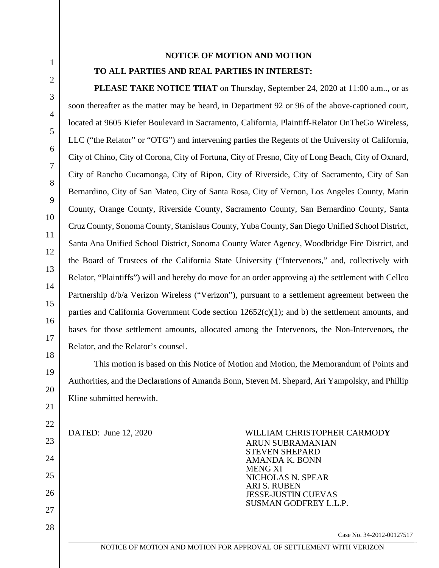# **NOTICE OF MOTION AND MOTION**

# **TO ALL PARTIES AND REAL PARTIES IN INTEREST:**

**PLEASE TAKE NOTICE THAT** on Thursday, September 24, 2020 at 11:00 a.m.., or as soon thereafter as the matter may be heard, in Department 92 or 96 of the above-captioned court, located at 9605 Kiefer Boulevard in Sacramento, California, Plaintiff-Relator OnTheGo Wireless, LLC ("the Relator" or "OTG") and intervening parties the Regents of the University of California, City of Chino, City of Corona, City of Fortuna, City of Fresno, City of Long Beach, City of Oxnard, City of Rancho Cucamonga, City of Ripon, City of Riverside, City of Sacramento, City of San Bernardino, City of San Mateo, City of Santa Rosa, City of Vernon, Los Angeles County, Marin County, Orange County, Riverside County, Sacramento County, San Bernardino County, Santa Cruz County, Sonoma County, Stanislaus County, Yuba County, San Diego Unified School District, Santa Ana Unified School District, Sonoma County Water Agency, Woodbridge Fire District, and the Board of Trustees of the California State University ("Intervenors," and, collectively with Relator, "Plaintiffs") will and hereby do move for an order approving a) the settlement with Cellco Partnership d/b/a Verizon Wireless ("Verizon"), pursuant to a settlement agreement between the parties and California Government Code section  $12652(c)(1)$ ; and b) the settlement amounts, and bases for those settlement amounts, allocated among the Intervenors, the Non-Intervenors, the Relator, and the Relator's counsel.

This motion is based on this Notice of Motion and Motion, the Memorandum of Points and Authorities, and the Declarations of Amanda Bonn, Steven M. Shepard, Ari Yampolsky, and Phillip Kline submitted herewith.

DATED: June 12, 2020 WILLIAM CHRISTOPHER CARMOD**Y**  ARUN SUBRAMANIAN STEVEN SHEPARD AMANDA K. BONN MENG XI NICHOLAS N. SPEAR ARI S. RUBEN JESSE-JUSTIN CUEVAS SUSMAN GODFREY L.L.P.

Case No. 34-2012-00127517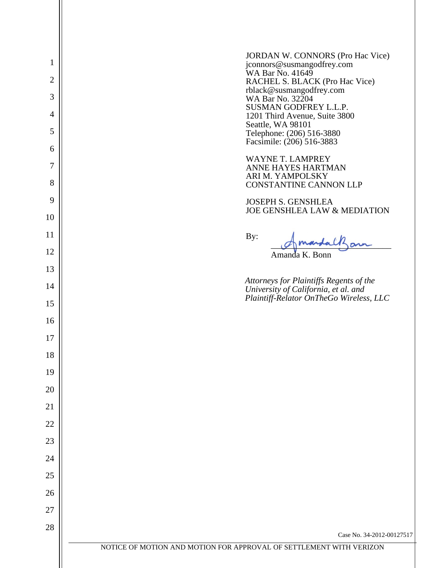|                | <b>JORDAN W. CONNORS (Pro Hac Vice)</b>                                         |
|----------------|---------------------------------------------------------------------------------|
| $\mathbf{1}$   | jconnors@susmangodfrey.com<br>WA Bar No. 41649                                  |
| $\overline{c}$ | RACHEL S. BLACK (Pro Hac Vice)<br>rblack@susmangodfrey.com                      |
| 3              | WA Bar No. 32204<br>SUSMAN GODFREY L.L.P.                                       |
| 4              | 1201 Third Avenue, Suite 3800<br>Seattle, WA 98101                              |
| 5              | Telephone: (206) 516-3880<br>Facsimile: (206) 516-3883                          |
| 6              | <b>WAYNE T. LAMPREY</b>                                                         |
| 7              | ANNE HAYES HARTMAN<br>ARI M. YAMPOLSKY                                          |
| 8<br>9         | <b>CONSTANTINE CANNON LLP</b>                                                   |
|                | <b>JOSEPH S. GENSHLEA</b><br>JOE GENSHLEA LAW & MEDIATION                       |
| 10<br>11       |                                                                                 |
| 12             | By:<br>andalkan                                                                 |
| 13             | Amanda K. Bonn                                                                  |
| 14             | Attorneys for Plaintiffs Regents of the                                         |
| 15             | University of California, et al. and<br>Plaintiff-Relator OnTheGo Wireless, LLC |
| 16             |                                                                                 |
| 17             |                                                                                 |
| 18             |                                                                                 |
| 19             |                                                                                 |
| 20             |                                                                                 |
| 21             |                                                                                 |
| 22             |                                                                                 |
| 23             |                                                                                 |
| 24             |                                                                                 |
| 25             |                                                                                 |
| 26             |                                                                                 |
| 27             |                                                                                 |
| 28             | Case No. 34-2012-00127517                                                       |
|                | NOTICE OF MOTION AND MOTION FOR APPROVAL OF SETTLEMENT WITH VERIZON             |
|                |                                                                                 |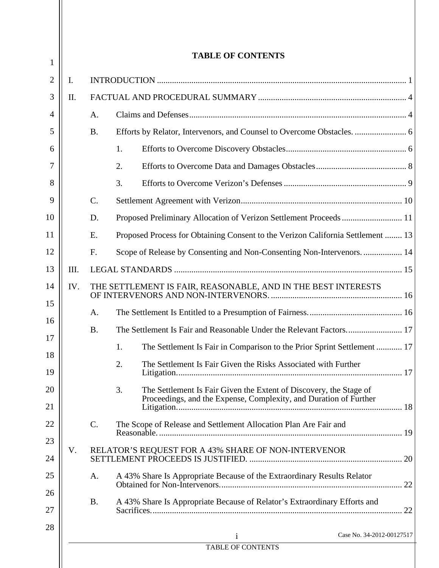|                 |                 | <b>TABLE OF CONTENTS</b>                                                                                                                      |  |
|-----------------|-----------------|-----------------------------------------------------------------------------------------------------------------------------------------------|--|
| I.              |                 |                                                                                                                                               |  |
| $\mathbf{II}$ . |                 |                                                                                                                                               |  |
|                 | A.              |                                                                                                                                               |  |
|                 | <b>B.</b>       |                                                                                                                                               |  |
|                 |                 | 1.                                                                                                                                            |  |
|                 |                 | 2.                                                                                                                                            |  |
|                 |                 | 3.                                                                                                                                            |  |
|                 | $\mathcal{C}$ . |                                                                                                                                               |  |
|                 | D.              | Proposed Preliminary Allocation of Verizon Settlement Proceeds  11                                                                            |  |
|                 | E.              | Proposed Process for Obtaining Consent to the Verizon California Settlement  13                                                               |  |
|                 | F.              | Scope of Release by Consenting and Non-Consenting Non-Intervenors 14                                                                          |  |
| III.            |                 |                                                                                                                                               |  |
| IV.             |                 | THE SETTLEMENT IS FAIR, REASONABLE, AND IN THE BEST INTERESTS                                                                                 |  |
|                 | A.              |                                                                                                                                               |  |
|                 | <b>B.</b>       |                                                                                                                                               |  |
|                 |                 | The Settlement Is Fair in Comparison to the Prior Sprint Settlement  17<br>1.                                                                 |  |
|                 |                 | 2.<br>The Settlement Is Fair Given the Risks Associated with Further                                                                          |  |
|                 |                 | 3.<br>The Settlement Is Fair Given the Extent of Discovery, the Stage of<br>Proceedings, and the Expense, Complexity, and Duration of Further |  |
|                 | $\mathbf{C}$ .  | The Scope of Release and Settlement Allocation Plan Are Fair and                                                                              |  |
| V.              |                 | RELATOR'S REQUEST FOR A 43% SHARE OF NON-INTERVENOR                                                                                           |  |
|                 | A.              | A 43% Share Is Appropriate Because of the Extraordinary Results Relator                                                                       |  |
|                 | <b>B.</b>       | A 43% Share Is Appropriate Because of Relator's Extraordinary Efforts and                                                                     |  |
|                 |                 | Case No. 34-2012-00127517<br>$\mathbf{1}$                                                                                                     |  |
|                 |                 | <b>TABLE OF CONTENTS</b>                                                                                                                      |  |

 $\mathsf{I}$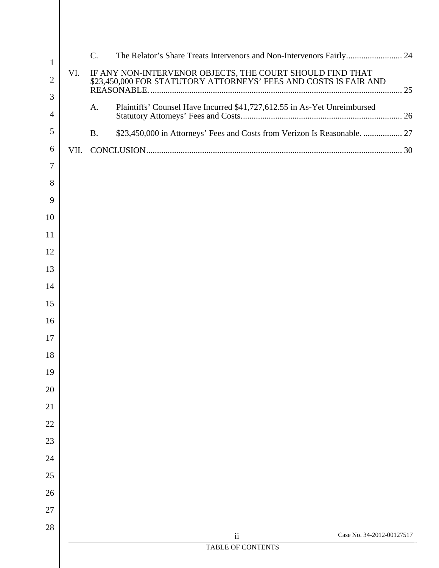| $\mathbf{1}$        |      | $\mathcal{C}$ .<br>The Relator's Share Treats Intervenors and Non-Intervenors Fairly 24 |  |
|---------------------|------|-----------------------------------------------------------------------------------------|--|
| $\overline{2}$      | VI.  | IF ANY NON-INTERVENOR OBJECTS, THE COURT SHOULD FIND THAT                               |  |
| 3<br>$\overline{4}$ |      | Plaintiffs' Counsel Have Incurred \$41,727,612.55 in As-Yet Unreimbursed<br>A.          |  |
| 5                   |      | \$23,450,000 in Attorneys' Fees and Costs from Verizon Is Reasonable.  27<br><b>B.</b>  |  |
| 6                   | VII. |                                                                                         |  |
| 7                   |      |                                                                                         |  |
| 8                   |      |                                                                                         |  |
| 9                   |      |                                                                                         |  |
| 10                  |      |                                                                                         |  |
| 11                  |      |                                                                                         |  |
| 12                  |      |                                                                                         |  |
| 13                  |      |                                                                                         |  |
| 14                  |      |                                                                                         |  |
| 15                  |      |                                                                                         |  |
| 16                  |      |                                                                                         |  |
| 17                  |      |                                                                                         |  |
| 18                  |      |                                                                                         |  |
| 19                  |      |                                                                                         |  |
| 20                  |      |                                                                                         |  |
| 21                  |      |                                                                                         |  |
| 22                  |      |                                                                                         |  |
| 23                  |      |                                                                                         |  |
| 24                  |      |                                                                                         |  |
| 25                  |      |                                                                                         |  |
| 26<br>27            |      |                                                                                         |  |
| 28                  |      |                                                                                         |  |
|                     |      | Case No. 34-2012-00127517<br>$\ddot{\mathbf{i}}$                                        |  |
|                     |      | TABLE OF CONTENTS                                                                       |  |
|                     |      |                                                                                         |  |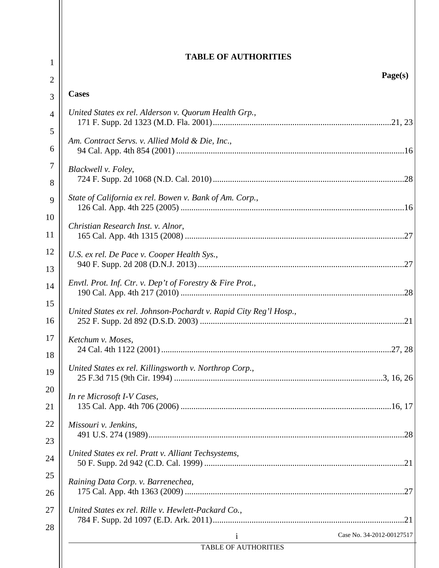| $\mathbf{1}$   | <b>TABLE OF AUTHORITIES</b>                                       |
|----------------|-------------------------------------------------------------------|
| $\overline{2}$ | Page(s)                                                           |
| 3              | <b>Cases</b>                                                      |
| 4              | United States ex rel. Alderson v. Quorum Health Grp.,             |
| 5<br>6         | Am. Contract Servs. v. Allied Mold & Die, Inc.,                   |
| 7<br>8         | Blackwell v. Foley,                                               |
| 9              | State of California ex rel. Bowen v. Bank of Am. Corp.,           |
| 10<br>11       | Christian Research Inst. v. Alnor,                                |
| 12<br>13       | U.S. ex rel. De Pace v. Cooper Health Sys.,                       |
| 14             | Envtl. Prot. Inf. Ctr. v. Dep't of Forestry & Fire Prot.,         |
| 15<br>16       | United States ex rel. Johnson-Pochardt v. Rapid City Reg'l Hosp., |
| 17<br>18       | Ketchum v. Moses,                                                 |
| 19             | United States ex rel. Killingsworth v. Northrop Corp.,            |
| 20<br>21       | In re Microsoft I-V Cases,                                        |
| 22             | Missouri v. Jenkins,                                              |
| 23<br>24       | United States ex rel. Pratt v. Alliant Techsystems,               |
| 25<br>26       | Raining Data Corp. v. Barrenechea,                                |
| 27             | United States ex rel. Rille v. Hewlett-Packard Co.,               |
| 28             | Case No. 34-2012-00127517<br>i                                    |
|                | TABLE OF AUTHORITIES                                              |
|                |                                                                   |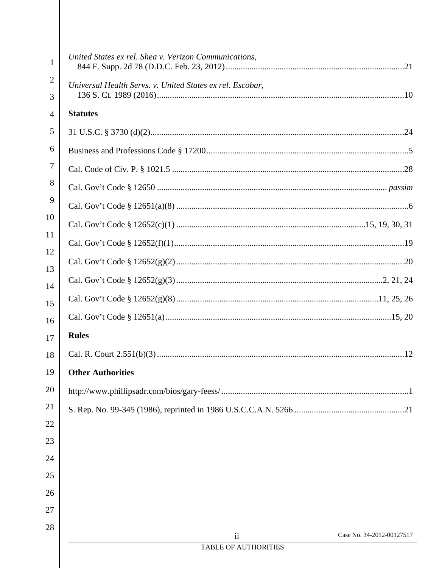| $\mathbf{1}$        | United States ex rel. Shea v. Verizon Communications,     |  |
|---------------------|-----------------------------------------------------------|--|
| $\overline{2}$<br>3 | Universal Health Servs. v. United States ex rel. Escobar, |  |
| 4                   | <b>Statutes</b>                                           |  |
| 5                   |                                                           |  |
| 6                   |                                                           |  |
| 7                   |                                                           |  |
| 8                   |                                                           |  |
| 9                   |                                                           |  |
| 10                  |                                                           |  |
| 11                  |                                                           |  |
| 12                  |                                                           |  |
| 13                  |                                                           |  |
| 14                  |                                                           |  |
| 15<br>16            |                                                           |  |
| 17                  | <b>Rules</b>                                              |  |
| 18                  |                                                           |  |
| 19                  | <b>Other Authorities</b>                                  |  |
| 20                  |                                                           |  |
| 21                  |                                                           |  |
| 22                  |                                                           |  |
| 23                  |                                                           |  |
| 24                  |                                                           |  |
| 25                  |                                                           |  |
| 26                  |                                                           |  |
| 27                  |                                                           |  |
| 28                  | Case No. 34-2012-00127517<br>$\overline{\mathbf{u}}$      |  |
|                     | TABLE OF AUTHORITIES                                      |  |
|                     |                                                           |  |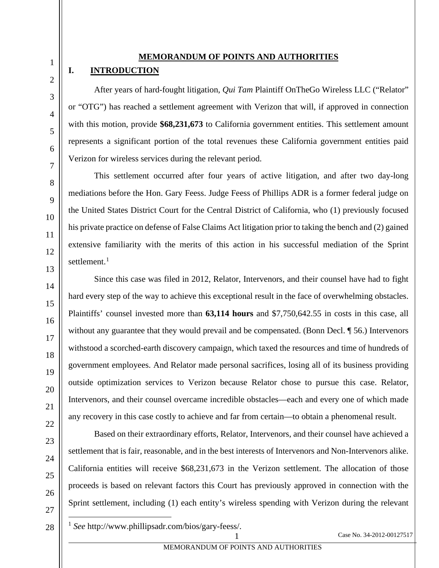#### **MEMORANDUM OF POINTS AND AUTHORITIES**

#### <span id="page-7-0"></span>**I. INTRODUCTION**

1

2

3

4

5

6

7

8

9

10

11

12

13

14

15

16

17

18

19

20

21

22

23

24

25

<span id="page-7-3"></span>26

After years of hard-fought litigation, *Qui Tam* Plaintiff OnTheGo Wireless LLC ("Relator" or "OTG") has reached a settlement agreement with Verizon that will, if approved in connection with this motion, provide **\$68,231,673** to California government entities. This settlement amount represents a significant portion of the total revenues these California government entities paid Verizon for wireless services during the relevant period.

<span id="page-7-1"></span>This settlement occurred after four years of active litigation, and after two day-long mediations before the Hon. Gary Feess. Judge Feess of Phillips ADR is a former federal judge on the United States District Court for the Central District of California, who (1) previously focused his private practice on defense of False Claims Act litigation prior to taking the bench and (2) gained extensive familiarity with the merits of this action in his successful mediation of the Sprint settlement.<sup>[1](#page-7-3)</sup>

Since this case was filed in 2012, Relator, Intervenors, and their counsel have had to fight hard every step of the way to achieve this exceptional result in the face of overwhelming obstacles. Plaintiffs' counsel invested more than **63,114 hours** and \$7,750,642.55 in costs in this case, all without any guarantee that they would prevail and be compensated. (Bonn Decl. 156.) Intervenors withstood a scorched-earth discovery campaign, which taxed the resources and time of hundreds of government employees. And Relator made personal sacrifices, losing all of its business providing outside optimization services to Verizon because Relator chose to pursue this case. Relator, Intervenors, and their counsel overcame incredible obstacles—each and every one of which made any recovery in this case costly to achieve and far from certain—to obtain a phenomenal result.

Based on their extraordinary efforts, Relator, Intervenors, and their counsel have achieved a settlement that is fair, reasonable, and in the best interests of Intervenors and Non-Intervenors alike. California entities will receive \$68,231,673 in the Verizon settlement. The allocation of those proceeds is based on relevant factors this Court has previously approved in connection with the Sprint settlement, including (1) each entity's wireless spending with Verizon during the relevant

<span id="page-7-2"></span><sup>1</sup> *See* http://www.phillipsadr.com/bios/gary-feess/.

Case No. 34-2012-00127517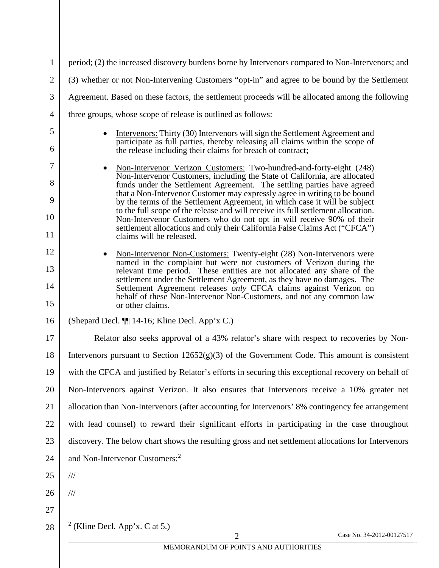<span id="page-8-1"></span><span id="page-8-0"></span>

| 3        | Agreement. Based on these factors, the settlement proceeds will be allocated among the following                                                                                                                                                                                                                      |
|----------|-----------------------------------------------------------------------------------------------------------------------------------------------------------------------------------------------------------------------------------------------------------------------------------------------------------------------|
| 4        | three groups, whose scope of release is outlined as follows:                                                                                                                                                                                                                                                          |
| 5        | Intervenors: Thirty (30) Intervenors will sign the Settlement Agreement and<br>$\bullet$<br>participate as full parties, thereby releasing all claims within the scope of                                                                                                                                             |
| 6        | the release including their claims for breach of contract;                                                                                                                                                                                                                                                            |
| 7        | Non-Intervenor Verizon Customers: Two-hundred-and-forty-eight (248)<br>$\bullet$<br>Non-Intervenor Customers, including the State of California, are allocated                                                                                                                                                        |
| 8<br>9   | funds under the Settlement Agreement. The settling parties have agreed<br>that a Non-Intervenor Customer may expressly agree in writing to be bound                                                                                                                                                                   |
| 10       | by the terms of the Settlement Agreement, in which case it will be subject<br>to the full scope of the release and will receive its full settlement allocation.<br>Non-Intervenor Customers who do not opt in will receive 90% of their<br>settlement allocations and only their California False Claims Act ("CFCA") |
| 11       | claims will be released.                                                                                                                                                                                                                                                                                              |
| 12       | Non-Intervenor Non-Customers: Twenty-eight (28) Non-Intervenors were<br>٠<br>named in the complaint but were not customers of Verizon during the                                                                                                                                                                      |
| 13       | relevant time period. These entities are not allocated any share of the<br>settlement under the Settlement Agreement, as they have no damages. The                                                                                                                                                                    |
| 14<br>15 | Settlement Agreement releases only CFCA claims against Verizon on<br>behalf of these Non-Intervenor Non-Customers, and not any common law<br>or other claims.                                                                                                                                                         |
| 16       | (Shepard Decl. ¶ 14-16; Kline Decl. App'x C.)                                                                                                                                                                                                                                                                         |
| 17       | Relator also seeks approval of a 43% relator's share with respect to recoveries by Non-                                                                                                                                                                                                                               |
| 18       | Intervenors pursuant to Section $12652(g)(3)$ of the Government Code. This amount is consistent                                                                                                                                                                                                                       |
| 19       | with the CFCA and justified by Relator's efforts in securing this exceptional recovery on behalf of                                                                                                                                                                                                                   |
| 20       | Non-Intervenors against Verizon. It also ensures that Intervenors receive a 10% greater net                                                                                                                                                                                                                           |
| 21       | allocation than Non-Intervenors (after accounting for Intervenors' 8% contingency fee arrangement                                                                                                                                                                                                                     |
| 22       | with lead counsel) to reward their significant efforts in participating in the case throughout                                                                                                                                                                                                                        |
| 23       | discovery. The below chart shows the resulting gross and net settlement allocations for Intervenors                                                                                                                                                                                                                   |
| 24       | and Non-Intervenor Customers: <sup>2</sup>                                                                                                                                                                                                                                                                            |
| 25       | $\frac{1}{1}$                                                                                                                                                                                                                                                                                                         |
| 26       | $/\!/ \!/$                                                                                                                                                                                                                                                                                                            |
| 27       |                                                                                                                                                                                                                                                                                                                       |
| 28       | $2$ (Kline Decl. App'x. C at 5.)                                                                                                                                                                                                                                                                                      |
|          | Case No. 34-2012-00127517<br>$\overline{2}$                                                                                                                                                                                                                                                                           |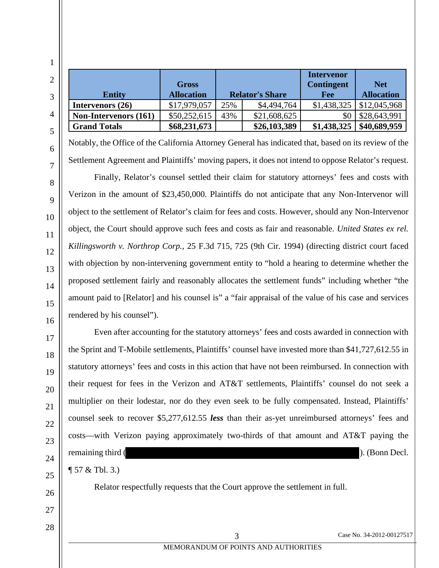|                              | <b>Gross</b>      |                        |              | <b>Intervenor</b><br><b>Contingent</b> | <b>Net</b>        |
|------------------------------|-------------------|------------------------|--------------|----------------------------------------|-------------------|
| <b>Entity</b>                | <b>Allocation</b> | <b>Relator's Share</b> |              | Fee                                    | <b>Allocation</b> |
| Intervenors $(26)$           | \$17,979,057      | 25%                    | \$4,494,764  | \$1,438,325                            | \$12,045,968      |
| <b>Non-Intervenors (161)</b> | \$50,252,615      | 43%                    | \$21,608,625 | \$0                                    | \$28,643,991      |
| <b>Grand Totals</b>          | \$68,231,673      |                        | \$26,103,389 | \$1,438,325                            | \$40,689,959      |

Notably, the Office of the California Attorney General has indicated that, based on its review of the Settlement Agreement and Plaintiffs' moving papers, it does not intend to oppose Relator's request.

<span id="page-9-0"></span>Finally, Relator's counsel settled their claim for statutory attorneys' fees and costs with Verizon in the amount of \$23,450,000. Plaintiffs do not anticipate that any Non-Intervenor will object to the settlement of Relator's claim for fees and costs. However, should any Non-Intervenor object, the Court should approve such fees and costs as fair and reasonable. *United States ex rel. Killingsworth v. Northrop Corp.*, 25 F.3d 715, 725 (9th Cir. 1994) (directing district court faced with objection by non-intervening government entity to "hold a hearing to determine whether the proposed settlement fairly and reasonably allocates the settlement funds" including whether "the amount paid to [Relator] and his counsel is" a "fair appraisal of the value of his case and services rendered by his counsel").

Even after accounting for the statutory attorneys' fees and costs awarded in connection with the Sprint and T-Mobile settlements, Plaintiffs' counsel have invested more than \$41,727,612.55 in statutory attorneys' fees and costs in this action that have not been reimbursed. In connection with their request for fees in the Verizon and AT&T settlements, Plaintiffs' counsel do not seek a multiplier on their lodestar, nor do they even seek to be fully compensated. Instead, Plaintiffs' counsel seek to recover \$5,277,612.55 *less* than their as-yet unreimbursed attorneys' fees and costs—with Verizon paying approximately two-thirds of that amount and AT&T paying the remaining third ( ). (Bonn Decl.

¶ 57 & Tbl. 3.)

Relator respectfully requests that the Court approve the settlement in full.

1

2

3

4

5

6

7

8

9

10

11

12

13

14

15

16

17

18

19

20

21

22

23

24

25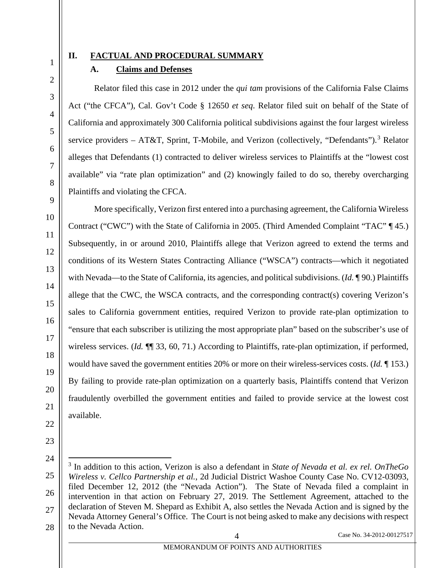2

3

4

5

6

7

8

# <span id="page-10-1"></span><span id="page-10-0"></span>**II. FACTUAL AND PROCEDURAL SUMMARY**

# **A. Claims and Defenses**

Relator filed this case in 2012 under the *qui tam* provisions of the California False Claims Act ("the CFCA"), Cal. Gov't Code § 12650 *et seq*. Relator filed suit on behalf of the State of California and approximately 300 California political subdivisions against the four largest wireless service providers – AT&T, Sprint, T-Mobile, and Verizon (collectively, "Defendants").<sup>[3](#page-10-2)</sup> Relator alleges that Defendants (1) contracted to deliver wireless services to Plaintiffs at the "lowest cost available" via "rate plan optimization" and (2) knowingly failed to do so, thereby overcharging Plaintiffs and violating the CFCA.

More specifically, Verizon first entered into a purchasing agreement, the California Wireless Contract ("CWC") with the State of California in 2005. (Third Amended Complaint "TAC" ¶ 45.) Subsequently, in or around 2010, Plaintiffs allege that Verizon agreed to extend the terms and conditions of its Western States Contracting Alliance ("WSCA") contracts—which it negotiated with Nevada—to the State of California, its agencies, and political subdivisions. (*Id.* ¶ 90.) Plaintiffs allege that the CWC, the WSCA contracts, and the corresponding contract(s) covering Verizon's sales to California government entities, required Verizon to provide rate-plan optimization to "ensure that each subscriber is utilizing the most appropriate plan" based on the subscriber's use of wireless services. (*Id.* ¶¶ 33, 60, 71.) According to Plaintiffs, rate-plan optimization, if performed, would have saved the government entities 20% or more on their wireless-services costs. (*Id.* ¶ 153.) By failing to provide rate-plan optimization on a quarterly basis, Plaintiffs contend that Verizon fraudulently overbilled the government entities and failed to provide service at the lowest cost available.

<span id="page-10-2"></span><sup>3</sup> In addition to this action, Verizon is also a defendant in *State of Nevada et al. ex rel. OnTheGo Wireless v. Cellco Partnership et al.*, 2d Judicial District Washoe County Case No. CV12-03093, filed December 12, 2012 (the "Nevada Action"). The State of Nevada filed a complaint in intervention in that action on February 27, 2019. The Settlement Agreement, attached to the declaration of Steven M. Shepard as Exhibit A, also settles the Nevada Action and is signed by the Nevada Attorney General's Office. The Court is not being asked to make any decisions with respect to the Nevada Action.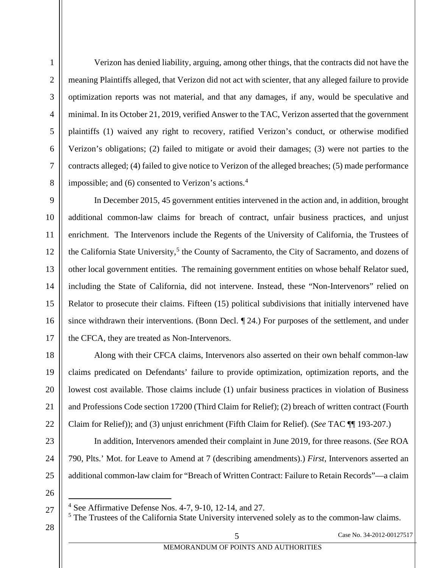Verizon has denied liability, arguing, among other things, that the contracts did not have the meaning Plaintiffs alleged, that Verizon did not act with scienter, that any alleged failure to provide optimization reports was not material, and that any damages, if any, would be speculative and minimal. In its October 21, 2019, verified Answer to the TAC, Verizon asserted that the government plaintiffs (1) waived any right to recovery, ratified Verizon's conduct, or otherwise modified Verizon's obligations; (2) failed to mitigate or avoid their damages; (3) were not parties to the contracts alleged; (4) failed to give notice to Verizon of the alleged breaches; (5) made performance impossible; and  $(6)$  consented to Verizon's actions.<sup>[4](#page-11-1)</sup>

In December 2015, 45 government entities intervened in the action and, in addition, brought additional common-law claims for breach of contract, unfair business practices, and unjust enrichment. The Intervenors include the Regents of the University of California, the Trustees of the California State University,<sup>[5](#page-11-2)</sup> the County of Sacramento, the City of Sacramento, and dozens of other local government entities. The remaining government entities on whose behalf Relator sued, including the State of California, did not intervene. Instead, these "Non-Intervenors" relied on Relator to prosecute their claims. Fifteen (15) political subdivisions that initially intervened have since withdrawn their interventions. (Bonn Decl. ¶ 24.) For purposes of the settlement, and under the CFCA, they are treated as Non-Intervenors.

<span id="page-11-0"></span>Along with their CFCA claims, Intervenors also asserted on their own behalf common-law claims predicated on Defendants' failure to provide optimization, optimization reports, and the lowest cost available. Those claims include (1) unfair business practices in violation of Business and Professions Code section 17200 (Third Claim for Relief); (2) breach of written contract (Fourth Claim for Relief)); and (3) unjust enrichment (Fifth Claim for Relief). (*See* TAC ¶¶ 193-207.)

In addition, Intervenors amended their complaint in June 2019, for three reasons. (*See* ROA 790, Plts.' Mot. for Leave to Amend at 7 (describing amendments).) *First*, Intervenors asserted an additional common-law claim for "Breach of Written Contract: Failure to Retain Records"—a claim

<span id="page-11-1"></span>26

1

2

3

4

5

6

7

8

9

10

11

12

13

14

15

16

17

18

19

20

21

22

23

24

25

<span id="page-11-2"></span>28

 $4$  See Affirmative Defense Nos. 4-7, 9-10, 12-14, and 27.

<sup>&</sup>lt;sup>5</sup> The Trustees of the California State University intervened solely as to the common-law claims.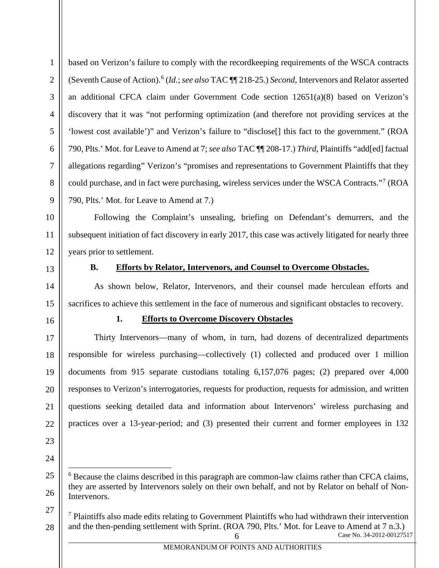<span id="page-12-2"></span>based on Verizon's failure to comply with the recordkeeping requirements of the WSCA contracts (Seventh Cause of Action).[6](#page-12-3) (*Id.*; *see also* TAC ¶¶ 218-25.) *Second*, Intervenors and Relator asserted an additional CFCA claim under Government Code section 12651(a)(8) based on Verizon's discovery that it was "not performing optimization (and therefore not providing services at the 'lowest cost available')" and Verizon's failure to "disclose[] this fact to the government." (ROA 790, Plts.' Mot. for Leave to Amend at 7; *see also* TAC ¶¶ 208-17.) *Third*, Plaintiffs "add[ed] factual allegations regarding" Verizon's "promises and representations to Government Plaintiffs that they could purchase, and in fact were purchasing, wireless services under the WSCA Contracts."[7](#page-12-4) (ROA 790, Plts.' Mot. for Leave to Amend at 7.)

Following the Complaint's unsealing, briefing on Defendant's demurrers, and the subsequent initiation of fact discovery in early 2017, this case was actively litigated for nearly three years prior to settlement.

<span id="page-12-0"></span>

1

2

3

4

5

6

7

8

9

10

11

12

13

14

15

17

18

19

20

21

22

23

24

<span id="page-12-3"></span>25

26

<span id="page-12-4"></span>27

28

### **B. Efforts by Relator, Intervenors, and Counsel to Overcome Obstacles.**

As shown below, Relator, Intervenors, and their counsel made herculean efforts and sacrifices to achieve this settlement in the face of numerous and significant obstacles to recovery.

<span id="page-12-1"></span>16

### **1. Efforts to Overcome Discovery Obstacles**

Thirty Intervenors—many of whom, in turn, had dozens of decentralized departments responsible for wireless purchasing—collectively (1) collected and produced over 1 million documents from 915 separate custodians totaling 6,157,076 pages; (2) prepared over 4,000 responses to Verizon's interrogatories, requests for production, requests for admission, and written questions seeking detailed data and information about Intervenors' wireless purchasing and practices over a 13-year-period; and (3) presented their current and former employees in 132

<sup>6</sup> Because the claims described in this paragraph are common-law claims rather than CFCA claims, they are asserted by Intervenors solely on their own behalf, and not by Relator on behalf of Non-Intervenors.

Case No. 34-2012-00127517  $<sup>7</sup>$  Plaintiffs also made edits relating to Government Plaintiffs who had withdrawn their intervention</sup> and the then-pending settlement with Sprint. (ROA 790, Plts.' Mot. for Leave to Amend at 7 n.3.)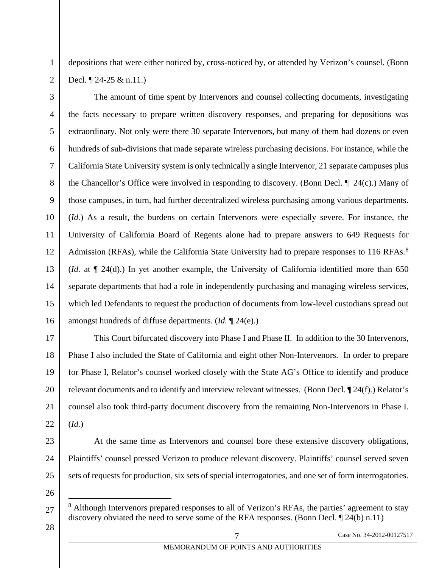depositions that were either noticed by, cross-noticed by, or attended by Verizon's counsel. (Bonn Decl. ¶ 24-25 & n.11.)

The amount of time spent by Intervenors and counsel collecting documents, investigating the facts necessary to prepare written discovery responses, and preparing for depositions was extraordinary. Not only were there 30 separate Intervenors, but many of them had dozens or even hundreds of sub-divisions that made separate wireless purchasing decisions. For instance, while the California State University system is only technically a single Intervenor, 21 separate campuses plus the Chancellor's Office were involved in responding to discovery. (Bonn Decl. ¶ 24(c).) Many of those campuses, in turn, had further decentralized wireless purchasing among various departments. (*Id.*) As a result, the burdens on certain Intervenors were especially severe. For instance, the University of California Board of Regents alone had to prepare answers to 649 Requests for Admission (RFAs), while the California State University had to prepare responses to 116 RFAs.<sup>[8](#page-13-0)</sup> (*Id.* at ¶ 24(d).) In yet another example, the University of California identified more than 650 separate departments that had a role in independently purchasing and managing wireless services, which led Defendants to request the production of documents from low-level custodians spread out amongst hundreds of diffuse departments. (*Id.* ¶ 24(e).)

This Court bifurcated discovery into Phase I and Phase II. In addition to the 30 Intervenors, Phase I also included the State of California and eight other Non-Intervenors. In order to prepare for Phase I, Relator's counsel worked closely with the State AG's Office to identify and produce relevant documents and to identify and interview relevant witnesses. (Bonn Decl. ¶ 24(f).) Relator's counsel also took third-party document discovery from the remaining Non-Intervenors in Phase I. (*Id.*)

At the same time as Intervenors and counsel bore these extensive discovery obligations, Plaintiffs' counsel pressed Verizon to produce relevant discovery. Plaintiffs' counsel served seven sets of requests for production, six sets of special interrogatories, and one set of form interrogatories.

<span id="page-13-0"></span>26

1

2

3

4

5

6

7

8

9

10

11

12

13

14

15

16

17

18

19

20

21

22

23

24

25

<sup>&</sup>lt;sup>8</sup> Although Intervenors prepared responses to all of Verizon's RFAs, the parties' agreement to stay discovery obviated the need to serve some of the RFA responses. (Bonn Decl. ¶ 24(b) n.11)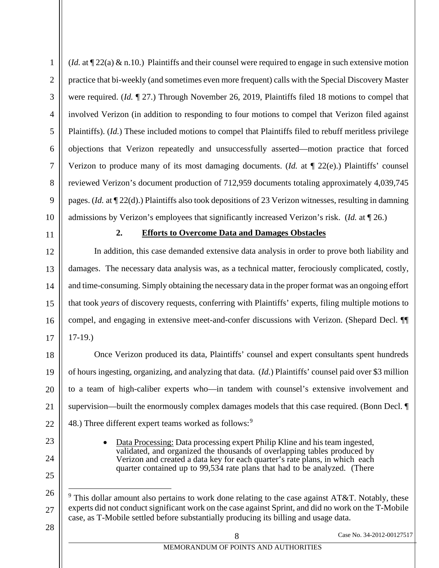(*Id.* at ¶ 22(a) & n.10.) Plaintiffs and their counsel were required to engage in such extensive motion practice that bi-weekly (and sometimes even more frequent) calls with the Special Discovery Master were required. (*Id.* ¶ 27.) Through November 26, 2019, Plaintiffs filed 18 motions to compel that involved Verizon (in addition to responding to four motions to compel that Verizon filed against Plaintiffs). (*Id.*) These included motions to compel that Plaintiffs filed to rebuff meritless privilege objections that Verizon repeatedly and unsuccessfully asserted—motion practice that forced Verizon to produce many of its most damaging documents. (*Id.* at ¶ 22(e).) Plaintiffs' counsel reviewed Verizon's document production of 712,959 documents totaling approximately 4,039,745 pages. (*Id.* at ¶ 22(d).) Plaintiffs also took depositions of 23 Verizon witnesses, resulting in damning admissions by Verizon's employees that significantly increased Verizon's risk. (*Id.* at ¶ 26.)

#### **2. Efforts to Overcome Data and Damages Obstacles**

<span id="page-14-0"></span>In addition, this case demanded extensive data analysis in order to prove both liability and damages. The necessary data analysis was, as a technical matter, ferociously complicated, costly, and time-consuming. Simply obtaining the necessary data in the proper format was an ongoing effort that took *years* of discovery requests, conferring with Plaintiffs' experts, filing multiple motions to compel, and engaging in extensive meet-and-confer discussions with Verizon. (Shepard Decl. ¶¶ 17-19.)

Once Verizon produced its data, Plaintiffs' counsel and expert consultants spent hundreds of hours ingesting, organizing, and analyzing that data. (*Id.*) Plaintiffs' counsel paid over \$3 million to a team of high-caliber experts who—in tandem with counsel's extensive involvement and supervision—built the enormously complex damages models that this case required. (Bonn Decl. ¶ 48.) Three different expert teams worked as follows:<sup>[9](#page-14-1)</sup>

> • Data Processing: Data processing expert Philip Kline and his team ingested, validated, and organized the thousands of overlapping tables produced by Verizon and created a data key for each quarter's rate plans, in which each quarter contained up to 99,534 rate plans that had to be analyzed. (There

<span id="page-14-1"></span> $9$  This dollar amount also pertains to work done relating to the case against AT&T. Notably, these experts did not conduct significant work on the case against Sprint, and did no work on the T-Mobile case, as T-Mobile settled before substantially producing its billing and usage data.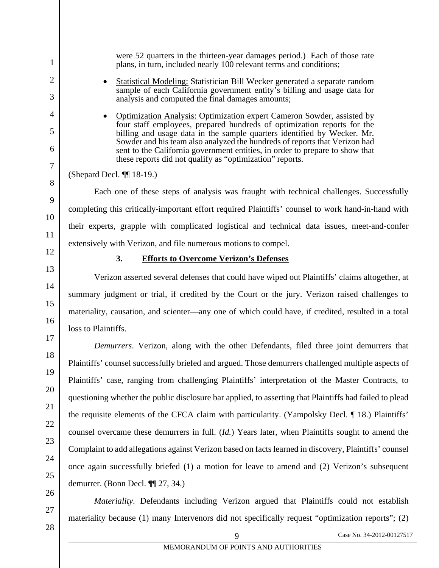were 52 quarters in the thirteen-year damages period.) Each of those rate plans, in turn, included nearly 100 relevant terms and conditions;

- Statistical Modeling: Statistician Bill Wecker generated a separate random sample of each California government entity's billing and usage data for analysis and computed the final damages amounts;
- Optimization Analysis: Optimization expert Cameron Sowder, assisted by four staff employees, prepared hundreds of optimization reports for the billing and usage data in the sample quarters identified by Wecker. Mr. Sowder and his team also analyzed the hundreds of reports that Verizon had sent to the California government entities, in order to prepare to show that these reports did not qualify as "optimization" reports.

Each one of these steps of analysis was fraught with technical challenges. Successfully completing this critically-important effort required Plaintiffs' counsel to work hand-in-hand with their experts, grapple with complicated logistical and technical data issues, meet-and-confer extensively with Verizon, and file numerous motions to compel.

<span id="page-15-0"></span>

#### **3. Efforts to Overcome Verizon's Defenses**

Verizon asserted several defenses that could have wiped out Plaintiffs' claims altogether, at summary judgment or trial, if credited by the Court or the jury. Verizon raised challenges to materiality, causation, and scienter—any one of which could have, if credited, resulted in a total loss to Plaintiffs.

*Demurrers*. Verizon, along with the other Defendants, filed three joint demurrers that Plaintiffs' counsel successfully briefed and argued. Those demurrers challenged multiple aspects of Plaintiffs' case, ranging from challenging Plaintiffs' interpretation of the Master Contracts, to questioning whether the public disclosure bar applied, to asserting that Plaintiffs had failed to plead the requisite elements of the CFCA claim with particularity. (Yampolsky Decl. ¶ 18.) Plaintiffs' counsel overcame these demurrers in full. (*Id.*) Years later, when Plaintiffs sought to amend the Complaint to add allegations against Verizon based on facts learned in discovery, Plaintiffs' counsel once again successfully briefed (1) a motion for leave to amend and (2) Verizon's subsequent demurrer. (Bonn Decl. ¶¶ 27, 34.)

*Materiality*. Defendants including Verizon argued that Plaintiffs could not establish materiality because (1) many Intervenors did not specifically request "optimization reports"; (2)

<sup>(</sup>Shepard Decl. ¶¶ 18-19.)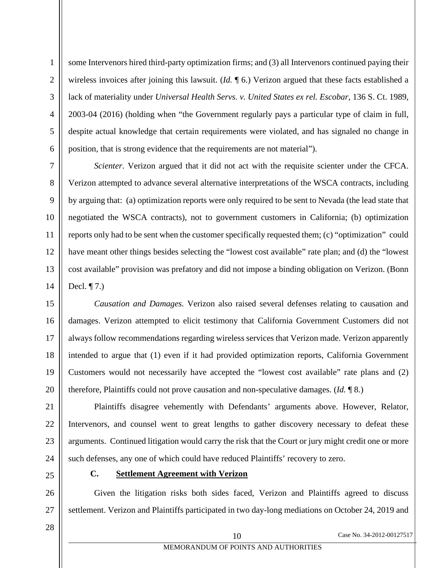<span id="page-16-1"></span>some Intervenors hired third-party optimization firms; and (3) all Intervenors continued paying their wireless invoices after joining this lawsuit. (*Id.* ¶ 6.) Verizon argued that these facts established a lack of materiality under *Universal Health Servs. v. United States ex rel. Escobar*, 136 S. Ct. 1989, 2003-04 (2016) (holding when "the Government regularly pays a particular type of claim in full, despite actual knowledge that certain requirements were violated, and has signaled no change in position, that is strong evidence that the requirements are not material").

*Scienter*. Verizon argued that it did not act with the requisite scienter under the CFCA. Verizon attempted to advance several alternative interpretations of the WSCA contracts, including by arguing that: (a) optimization reports were only required to be sent to Nevada (the lead state that negotiated the WSCA contracts), not to government customers in California; (b) optimization reports only had to be sent when the customer specifically requested them; (c) "optimization" could have meant other things besides selecting the "lowest cost available" rate plan; and (d) the "lowest cost available" provision was prefatory and did not impose a binding obligation on Verizon. (Bonn Decl. ¶ 7.)

*Causation and Damages*. Verizon also raised several defenses relating to causation and damages. Verizon attempted to elicit testimony that California Government Customers did not always follow recommendations regarding wireless services that Verizon made. Verizon apparently intended to argue that (1) even if it had provided optimization reports, California Government Customers would not necessarily have accepted the "lowest cost available" rate plans and (2) therefore, Plaintiffs could not prove causation and non-speculative damages. (*Id.* ¶ 8.)

Plaintiffs disagree vehemently with Defendants' arguments above. However, Relator, Intervenors, and counsel went to great lengths to gather discovery necessary to defeat these arguments. Continued litigation would carry the risk that the Court or jury might credit one or more such defenses, any one of which could have reduced Plaintiffs' recovery to zero.

<span id="page-16-0"></span>

# **C. Settlement Agreement with Verizon**

Given the litigation risks both sides faced, Verizon and Plaintiffs agreed to discuss settlement. Verizon and Plaintiffs participated in two day-long mediations on October 24, 2019 and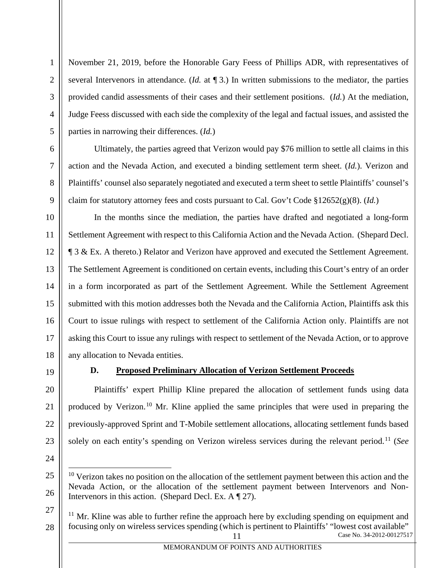November 21, 2019, before the Honorable Gary Feess of Phillips ADR, with representatives of several Intervenors in attendance. (*Id.* at ¶ 3.) In written submissions to the mediator, the parties provided candid assessments of their cases and their settlement positions. (*Id.*) At the mediation, Judge Feess discussed with each side the complexity of the legal and factual issues, and assisted the parties in narrowing their differences. (*Id.*)

<span id="page-17-1"></span>Ultimately, the parties agreed that Verizon would pay \$76 million to settle all claims in this action and the Nevada Action, and executed a binding settlement term sheet. (*Id.*). Verizon and Plaintiffs' counsel also separately negotiated and executed a term sheet to settle Plaintiffs' counsel's claim for statutory attorney fees and costs pursuant to Cal. Gov't Code §12652(g)(8). (*Id.*)

In the months since the mediation, the parties have drafted and negotiated a long-form Settlement Agreement with respect to this California Action and the Nevada Action. (Shepard Decl. ¶ 3 & Ex. A thereto.) Relator and Verizon have approved and executed the Settlement Agreement. The Settlement Agreement is conditioned on certain events, including this Court's entry of an order in a form incorporated as part of the Settlement Agreement. While the Settlement Agreement submitted with this motion addresses both the Nevada and the California Action, Plaintiffs ask this Court to issue rulings with respect to settlement of the California Action only. Plaintiffs are not asking this Court to issue any rulings with respect to settlement of the Nevada Action, or to approve any allocation to Nevada entities.

<span id="page-17-0"></span>

#### **D. Proposed Preliminary Allocation of Verizon Settlement Proceeds**

Plaintiffs' expert Phillip Kline prepared the allocation of settlement funds using data produced by Verizon.[10](#page-17-2) Mr. Kline applied the same principles that were used in preparing the previously-approved Sprint and T-Mobile settlement allocations, allocating settlement funds based solely on each entity's spending on Verizon wireless services during the relevant period.[11](#page-17-3) (*See* 

<span id="page-17-2"></span> $10$  Verizon takes no position on the allocation of the settlement payment between this action and the Nevada Action, or the allocation of the settlement payment between Intervenors and Non-Intervenors in this action. (Shepard Decl. Ex. A ¶ 27).

<span id="page-17-3"></span><sup>11</sup> Case No. 34-2012-00127517  $11$  Mr. Kline was able to further refine the approach here by excluding spending on equipment and focusing only on wireless services spending (which is pertinent to Plaintiffs' "lowest cost available"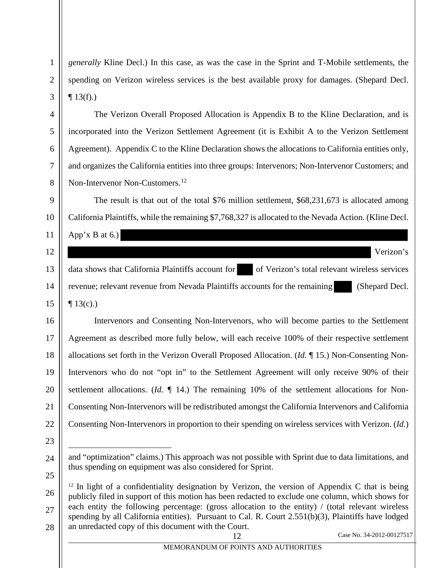*generally* Kline Decl.) In this case, as was the case in the Sprint and T-Mobile settlements, the spending on Verizon wireless services is the best available proxy for damages. (Shepard Decl.  $\P$  13(f).)

The Verizon Overall Proposed Allocation is Appendix B to the Kline Declaration, and is incorporated into the Verizon Settlement Agreement (it is Exhibit A to the Verizon Settlement Agreement). Appendix C to the Kline Declaration shows the allocations to California entities only, and organizes the California entities into three groups: Intervenors; Non-Intervenor Customers; and Non-Intervenor Non-Customers.<sup>[12](#page-18-1)</sup>

The result is that out of the total \$76 million settlement, \$68,231,673 is allocated among California Plaintiffs, while the remaining \$7,768,327 is allocated to the Nevada Action. (Kline Decl. App'x B at 6.)

data shows that California Plaintiffs account for of Verizon's total relevant wireless services revenue; relevant revenue from Nevada Plaintiffs accounts for the remaining (Shepard Decl.  $\P$  13(c).)

Intervenors and Consenting Non-Intervenors, who will become parties to the Settlement Agreement as described more fully below, will each receive 100% of their respective settlement allocations set forth in the Verizon Overall Proposed Allocation. (*Id.* ¶ 15.) Non-Consenting Non-Intervenors who do not "opt in" to the Settlement Agreement will only receive 90% of their settlement allocations. (*Id.* ¶ 14.) The remaining 10% of the settlement allocations for Non-Consenting Non-Intervenors will be redistributed amongst the California Intervenors and California Consenting Non-Intervenors in proportion to their spending on wireless services with Verizon. (*Id.*)

Verizon's

and "optimization" claims.) This approach was not possible with Sprint due to data limitations, and thus spending on equipment was also considered for Sprint.

<span id="page-18-1"></span><span id="page-18-0"></span> $12 \text{ In light of a confidentiality designation by Verizon, the version of Appendix C that is being}$ publicly filed in support of this motion has been redacted to exclude one column, which shows for each entity the following percentage: (gross allocation to the entity) / (total relevant wireless spending by all California entities). Pursuant to Cal. R. Court 2.551(b)(3), Plaintiffs have lodged an unredacted copy of this document with the Court.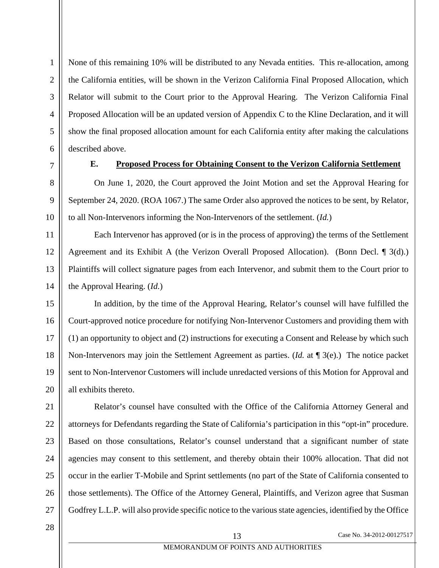None of this remaining 10% will be distributed to any Nevada entities. This re-allocation, among the California entities, will be shown in the Verizon California Final Proposed Allocation, which Relator will submit to the Court prior to the Approval Hearing. The Verizon California Final Proposed Allocation will be an updated version of Appendix C to the Kline Declaration, and it will show the final proposed allocation amount for each California entity after making the calculations described above.

<span id="page-19-0"></span>

1

#### **E. Proposed Process for Obtaining Consent to the Verizon California Settlement**

On June 1, 2020, the Court approved the Joint Motion and set the Approval Hearing for September 24, 2020. (ROA 1067.) The same Order also approved the notices to be sent, by Relator, to all Non-Intervenors informing the Non-Intervenors of the settlement. (*Id.*)

Each Intervenor has approved (or is in the process of approving) the terms of the Settlement Agreement and its Exhibit A (the Verizon Overall Proposed Allocation). (Bonn Decl. ¶ 3(d).) Plaintiffs will collect signature pages from each Intervenor, and submit them to the Court prior to the Approval Hearing. (*Id.*)

In addition, by the time of the Approval Hearing, Relator's counsel will have fulfilled the Court-approved notice procedure for notifying Non-Intervenor Customers and providing them with (1) an opportunity to object and (2) instructions for executing a Consent and Release by which such Non-Intervenors may join the Settlement Agreement as parties. (*Id.* at ¶ 3(e).) The notice packet sent to Non-Intervenor Customers will include unredacted versions of this Motion for Approval and all exhibits thereto.

Relator's counsel have consulted with the Office of the California Attorney General and attorneys for Defendants regarding the State of California's participation in this "opt-in" procedure. Based on those consultations, Relator's counsel understand that a significant number of state agencies may consent to this settlement, and thereby obtain their 100% allocation. That did not occur in the earlier T-Mobile and Sprint settlements (no part of the State of California consented to those settlements). The Office of the Attorney General, Plaintiffs, and Verizon agree that Susman Godfrey L.L.P. will also provide specific notice to the various state agencies, identified by the Office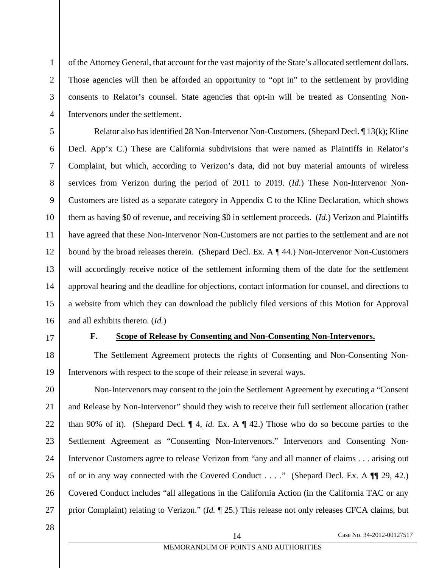of the Attorney General, that account for the vast majority of the State's allocated settlement dollars. Those agencies will then be afforded an opportunity to "opt in" to the settlement by providing consents to Relator's counsel. State agencies that opt-in will be treated as Consenting Non-Intervenors under the settlement.

Relator also has identified 28 Non-Intervenor Non-Customers. (Shepard Decl. ¶ 13(k); Kline Decl. App'x C.) These are California subdivisions that were named as Plaintiffs in Relator's Complaint, but which, according to Verizon's data, did not buy material amounts of wireless services from Verizon during the period of 2011 to 2019. (*Id.*) These Non-Intervenor Non-Customers are listed as a separate category in Appendix C to the Kline Declaration, which shows them as having \$0 of revenue, and receiving \$0 in settlement proceeds. (*Id.*) Verizon and Plaintiffs have agreed that these Non-Intervenor Non-Customers are not parties to the settlement and are not bound by the broad releases therein. (Shepard Decl. Ex. A ¶ 44.) Non-Intervenor Non-Customers will accordingly receive notice of the settlement informing them of the date for the settlement approval hearing and the deadline for objections, contact information for counsel, and directions to a website from which they can download the publicly filed versions of this Motion for Approval and all exhibits thereto. (*Id.*)

<span id="page-20-0"></span>17

1

2

3

4

5

6

7

8

9

10

11

12

13

14

15

16

18

19

### **F. Scope of Release by Consenting and Non-Consenting Non-Intervenors.**

The Settlement Agreement protects the rights of Consenting and Non-Consenting Non-Intervenors with respect to the scope of their release in several ways.

20 21 22 23 24 25 26 27 Non-Intervenors may consent to the join the Settlement Agreement by executing a "Consent and Release by Non-Intervenor" should they wish to receive their full settlement allocation (rather than 90% of it). (Shepard Decl. ¶ 4, *id.* Ex. A ¶ 42.) Those who do so become parties to the Settlement Agreement as "Consenting Non-Intervenors." Intervenors and Consenting Non-Intervenor Customers agree to release Verizon from "any and all manner of claims . . . arising out of or in any way connected with the Covered Conduct . . . ." (Shepard Decl. Ex. A ¶¶ 29, 42.) Covered Conduct includes "all allegations in the California Action (in the California TAC or any prior Complaint) relating to Verizon." (*Id.* ¶ 25.) This release not only releases CFCA claims, but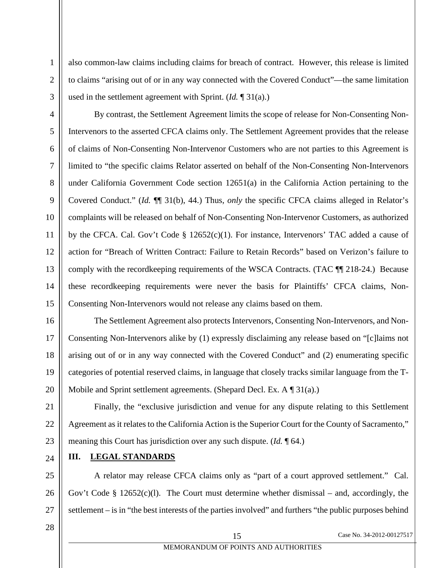used in the settlement agreement with Sprint. (*Id.* ¶ 31(a).) By contrast, the Settlement Agreement limits the scope of release for Non-Consenting Non-Intervenors to the asserted CFCA claims only. The Settlement Agreement provides that the release of claims of Non-Consenting Non-Intervenor Customers who are not parties to this Agreement is limited to "the specific claims Relator asserted on behalf of the Non-Consenting Non-Intervenors under California Government Code section 12651(a) in the California Action pertaining to the Covered Conduct." (*Id.* ¶¶ 31(b), 44.) Thus, *only* the specific CFCA claims alleged in Relator's complaints will be released on behalf of Non-Consenting Non-Intervenor Customers, as authorized by the CFCA. Cal. Gov't Code § 12652(c)(1). For instance, Intervenors' TAC added a cause of action for "Breach of Written Contract: Failure to Retain Records" based on Verizon's failure to comply with the recordkeeping requirements of the WSCA Contracts. (TAC ¶¶ 218-24.) Because these recordkeeping requirements were never the basis for Plaintiffs' CFCA claims, Non-

1

2

3

4

5

6

7

<span id="page-21-2"></span>8

9

10

<span id="page-21-1"></span>11

12

13

14

15

16

17

18

19

20

21

22

23

25

26

27

Consenting Non-Intervenors would not release any claims based on them. The Settlement Agreement also protects Intervenors, Consenting Non-Intervenors, and Non-Consenting Non-Intervenors alike by (1) expressly disclaiming any release based on "[c]laims not arising out of or in any way connected with the Covered Conduct" and (2) enumerating specific categories of potential reserved claims, in language that closely tracks similar language from the T-Mobile and Sprint settlement agreements. (Shepard Decl. Ex. A  $\P$  31(a).)

also common-law claims including claims for breach of contract. However, this release is limited

to claims "arising out of or in any way connected with the Covered Conduct"—the same limitation

Finally, the "exclusive jurisdiction and venue for any dispute relating to this Settlement Agreement as it relates to the California Action is the Superior Court for the County of Sacramento," meaning this Court has jurisdiction over any such dispute. (*Id.* ¶ 64.)

<span id="page-21-0"></span>24 **III. LEGAL STANDARDS**

A relator may release CFCA claims only as "part of a court approved settlement." Cal. Gov't Code § 12652(c)(l). The Court must determine whether dismissal – and, accordingly, the settlement – is in "the best interests of the parties involved" and furthers "the public purposes behind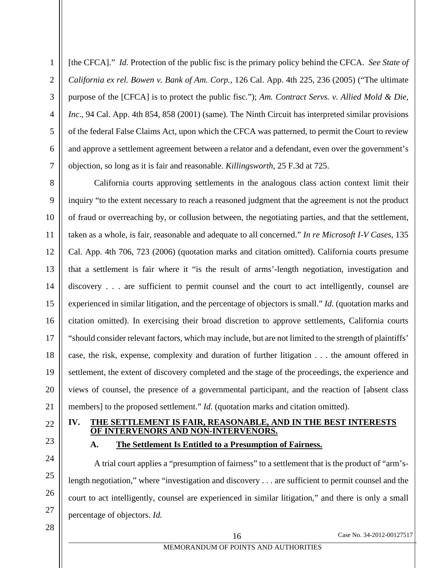<span id="page-22-3"></span><span id="page-22-2"></span>[the CFCA]." *Id.* Protection of the public fisc is the primary policy behind the CFCA. *See State of California ex rel. Bowen v. Bank of Am. Corp.*, 126 Cal. App. 4th 225, 236 (2005) ("The ultimate purpose of the [CFCA] is to protect the public fisc."); *Am. Contract Servs. v. Allied Mold & Die, Inc*., 94 Cal. App. 4th 854, 858 (2001) (same). The Ninth Circuit has interpreted similar provisions of the federal False Claims Act, upon which the CFCA was patterned, to permit the Court to review and approve a settlement agreement between a relator and a defendant, even over the government's objection, so long as it is fair and reasonable. *Killingsworth*, 25 F.3d at 725.

<span id="page-22-5"></span><span id="page-22-4"></span>California courts approving settlements in the analogous class action context limit their inquiry "to the extent necessary to reach a reasoned judgment that the agreement is not the product of fraud or overreaching by, or collusion between, the negotiating parties, and that the settlement, taken as a whole, is fair, reasonable and adequate to all concerned." *In re Microsoft I-V Cases*, 135 Cal. App. 4th 706, 723 (2006) (quotation marks and citation omitted). California courts presume that a settlement is fair where it "is the result of arms'-length negotiation, investigation and discovery . . . are sufficient to permit counsel and the court to act intelligently, counsel are experienced in similar litigation, and the percentage of objectors is small." *Id.* (quotation marks and citation omitted). In exercising their broad discretion to approve settlements, California courts "should consider relevant factors, which may include, but are not limited to the strength of plaintiffs' case, the risk, expense, complexity and duration of further litigation . . . the amount offered in settlement, the extent of discovery completed and the stage of the proceedings, the experience and views of counsel, the presence of a governmental participant, and the reaction of [absent class members] to the proposed settlement." *Id.* (quotation marks and citation omitted).

#### <span id="page-22-1"></span><span id="page-22-0"></span>**IV. THE SETTLEMENT IS FAIR, REASONABLE, AND IN THE BEST INTERESTS OF INTERVENORS AND NON-INTERVENORS.**

#### **A. The Settlement Is Entitled to a Presumption of Fairness.**

A trial court applies a "presumption of fairness" to a settlement that is the product of "arm'slength negotiation," where "investigation and discovery . . . are sufficient to permit counsel and the court to act intelligently, counsel are experienced in similar litigation," and there is only a small percentage of objectors. *Id.*

28

16 Case No. 34-2012-00127517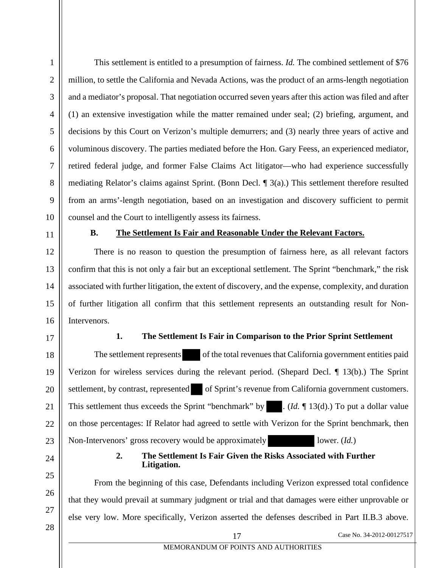<span id="page-23-3"></span>This settlement is entitled to a presumption of fairness. *Id.* The combined settlement of \$76 million, to settle the California and Nevada Actions, was the product of an arms-length negotiation and a mediator's proposal. That negotiation occurred seven years after this action was filed and after (1) an extensive investigation while the matter remained under seal; (2) briefing, argument, and decisions by this Court on Verizon's multiple demurrers; and (3) nearly three years of active and voluminous discovery. The parties mediated before the Hon. Gary Feess, an experienced mediator, retired federal judge, and former False Claims Act litigator—who had experience successfully mediating Relator's claims against Sprint. (Bonn Decl. ¶ 3(a).) This settlement therefore resulted from an arms'-length negotiation, based on an investigation and discovery sufficient to permit counsel and the Court to intelligently assess its fairness.

<span id="page-23-0"></span>

1

2

#### **B. The Settlement Is Fair and Reasonable Under the Relevant Factors.**

There is no reason to question the presumption of fairness here, as all relevant factors confirm that this is not only a fair but an exceptional settlement. The Sprint "benchmark," the risk associated with further litigation, the extent of discovery, and the expense, complexity, and duration of further litigation all confirm that this settlement represents an outstanding result for Non-Intervenors.

<span id="page-23-1"></span>

### **1. The Settlement Is Fair in Comparison to the Prior Sprint Settlement**

The settlement represents of the total revenues that California government entities paid Verizon for wireless services during the relevant period. (Shepard Decl. ¶ 13(b).) The Sprint settlement, by contrast, represented of Sprint's revenue from California government customers. This settlement thus exceeds the Sprint "benchmark" by ... (*Id.* 13(d).) To put a dollar value on those percentages: If Relator had agreed to settle with Verizon for the Sprint benchmark, then Non-Intervenors' gross recovery would be approximately lower. (*Id.*)

#### **2. The Settlement Is Fair Given the Risks Associated with Further Litigation.**

<span id="page-23-2"></span>From the beginning of this case, Defendants including Verizon expressed total confidence that they would prevail at summary judgment or trial and that damages were either unprovable or else very low. More specifically, Verizon asserted the defenses described in Part II.B.3 above.

17 Case No. 34-2012-00127517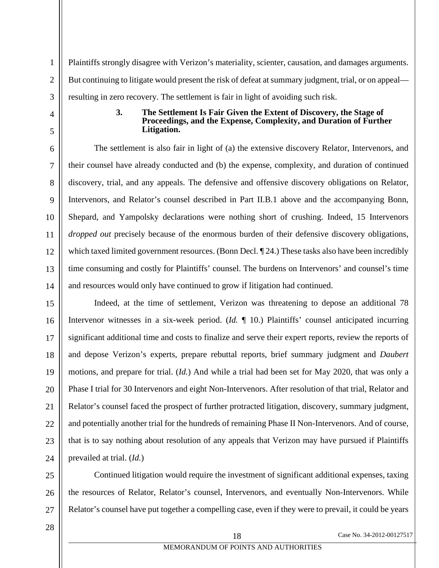Plaintiffs strongly disagree with Verizon's materiality, scienter, causation, and damages arguments. But continuing to litigate would present the risk of defeat at summary judgment, trial, or on appeal resulting in zero recovery. The settlement is fair in light of avoiding such risk.

#### **3. The Settlement Is Fair Given the Extent of Discovery, the Stage of Proceedings, and the Expense, Complexity, and Duration of Further Litigation.**

<span id="page-24-0"></span>The settlement is also fair in light of (a) the extensive discovery Relator, Intervenors, and their counsel have already conducted and (b) the expense, complexity, and duration of continued discovery, trial, and any appeals. The defensive and offensive discovery obligations on Relator, Intervenors, and Relator's counsel described in Part II.B.1 above and the accompanying Bonn, Shepard, and Yampolsky declarations were nothing short of crushing. Indeed, 15 Intervenors *dropped out* precisely because of the enormous burden of their defensive discovery obligations, which taxed limited government resources. (Bonn Decl.  $\P$ 24.) These tasks also have been incredibly time consuming and costly for Plaintiffs' counsel. The burdens on Intervenors' and counsel's time and resources would only have continued to grow if litigation had continued.

Indeed, at the time of settlement, Verizon was threatening to depose an additional 78 Intervenor witnesses in a six-week period. (*Id.* ¶ 10.) Plaintiffs' counsel anticipated incurring significant additional time and costs to finalize and serve their expert reports, review the reports of and depose Verizon's experts, prepare rebuttal reports, brief summary judgment and *Daubert* motions, and prepare for trial. (*Id.*) And while a trial had been set for May 2020, that was only a Phase I trial for 30 Intervenors and eight Non-Intervenors. After resolution of that trial, Relator and Relator's counsel faced the prospect of further protracted litigation, discovery, summary judgment, and potentially another trial for the hundreds of remaining Phase II Non-Intervenors. And of course, that is to say nothing about resolution of any appeals that Verizon may have pursued if Plaintiffs prevailed at trial. (*Id.*)

Continued litigation would require the investment of significant additional expenses, taxing the resources of Relator, Relator's counsel, Intervenors, and eventually Non-Intervenors. While Relator's counsel have put together a compelling case, even if they were to prevail, it could be years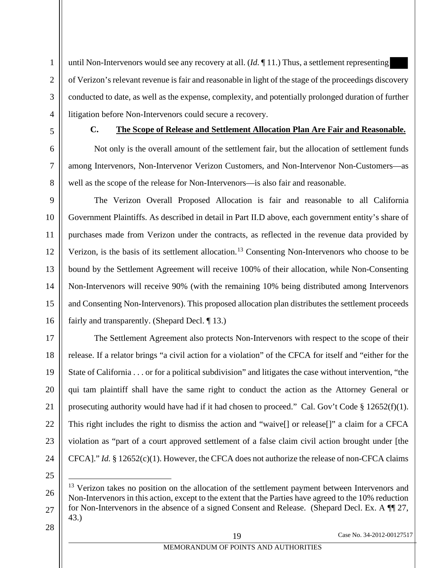until Non-Intervenors would see any recovery at all. (*Id.* ¶ 11.) Thus, a settlement representing of Verizon's relevant revenue is fair and reasonable in light of the stage of the proceedings discovery conducted to date, as well as the expense, complexity, and potentially prolonged duration of further litigation before Non-Intervenors could secure a recovery.

<span id="page-25-0"></span>

#### **C. The Scope of Release and Settlement Allocation Plan Are Fair and Reasonable.**

Not only is the overall amount of the settlement fair, but the allocation of settlement funds among Intervenors, Non-Intervenor Verizon Customers, and Non-Intervenor Non-Customers—as well as the scope of the release for Non-Intervenors—is also fair and reasonable.

The Verizon Overall Proposed Allocation is fair and reasonable to all California Government Plaintiffs. As described in detail in Part II.D above, each government entity's share of purchases made from Verizon under the contracts, as reflected in the revenue data provided by Verizon, is the basis of its settlement allocation.<sup>[13](#page-25-3)</sup> Consenting Non-Intervenors who choose to be bound by the Settlement Agreement will receive 100% of their allocation, while Non-Consenting Non-Intervenors will receive 90% (with the remaining 10% being distributed among Intervenors and Consenting Non-Intervenors). This proposed allocation plan distributes the settlement proceeds fairly and transparently. (Shepard Decl. ¶ 13.)

<span id="page-25-2"></span>The Settlement Agreement also protects Non-Intervenors with respect to the scope of their release. If a relator brings "a civil action for a violation" of the CFCA for itself and "either for the State of California . . . or for a political subdivision" and litigates the case without intervention, "the qui tam plaintiff shall have the same right to conduct the action as the Attorney General or prosecuting authority would have had if it had chosen to proceed." Cal. Gov't Code  $\S 12652(f)(1)$ . This right includes the right to dismiss the action and "waive[] or release[]" a claim for a CFCA violation as "part of a court approved settlement of a false claim civil action brought under [the CFCA]." *Id.* § 12652(c)(1). However, the CFCA does not authorize the release of non-CFCA claims

<span id="page-25-3"></span><span id="page-25-1"></span> $13$  Verizon takes no position on the allocation of the settlement payment between Intervenors and Non-Intervenors in this action, except to the extent that the Parties have agreed to the 10% reduction for Non-Intervenors in the absence of a signed Consent and Release. (Shepard Decl. Ex. A  $\P$  27, 43.)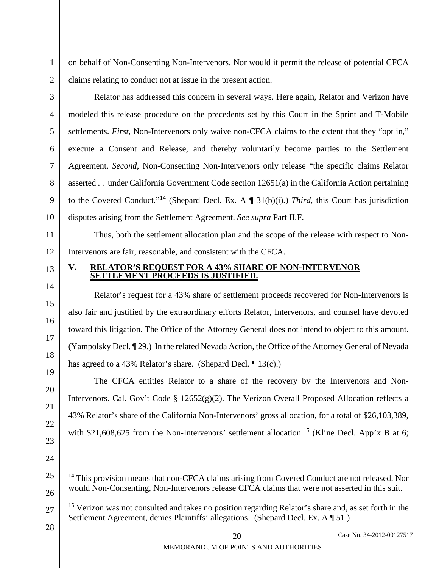on behalf of Non-Consenting Non-Intervenors. Nor would it permit the release of potential CFCA claims relating to conduct not at issue in the present action.

Relator has addressed this concern in several ways. Here again, Relator and Verizon have modeled this release procedure on the precedents set by this Court in the Sprint and T-Mobile settlements. *First*, Non-Intervenors only waive non-CFCA claims to the extent that they "opt in," execute a Consent and Release, and thereby voluntarily become parties to the Settlement Agreement. *Second*, Non-Consenting Non-Intervenors only release "the specific claims Relator asserted . . under California Government Code section 12651(a) in the California Action pertaining to the Covered Conduct."[14](#page-26-3) (Shepard Decl. Ex. A ¶ 31(b)(i).) *Third*, this Court has jurisdiction disputes arising from the Settlement Agreement. *See supra* Part II.F.

Thus, both the settlement allocation plan and the scope of the release with respect to Non-Intervenors are fair, reasonable, and consistent with the CFCA.

### <span id="page-26-0"></span>**V. RELATOR'S REQUEST FOR A 43% SHARE OF NON-INTERVENOR SETTLEMENT PROCEEDS IS JUSTIFIED.**

Relator's request for a 43% share of settlement proceeds recovered for Non-Intervenors is also fair and justified by the extraordinary efforts Relator, Intervenors, and counsel have devoted toward this litigation. The Office of the Attorney General does not intend to object to this amount. (Yampolsky Decl. ¶ 29.) In the related Nevada Action, the Office of the Attorney General of Nevada has agreed to a 43% Relator's share. (Shepard Decl. 1 13(c).)

<span id="page-26-1"></span>The CFCA entitles Relator to a share of the recovery by the Intervenors and Non-Intervenors. Cal. Gov't Code § 12652(g)(2). The Verizon Overall Proposed Allocation reflects a 43% Relator's share of the California Non-Intervenors' gross allocation, for a total of \$26,103,389, with \$21,608,625 from the Non-Intervenors' settlement allocation.<sup>[15](#page-26-4)</sup> (Kline Decl. App'x B at 6;

- <sup>14</sup> This provision means that non-CFCA claims arising from Covered Conduct are not released. Nor would Non-Consenting, Non-Intervenors release CFCA claims that were not asserted in this suit.
- <sup>15</sup> Verizon was not consulted and takes no position regarding Relator's share and, as set forth in the Settlement Agreement, denies Plaintiffs' allegations. (Shepard Decl. Ex. A ¶ 51.)
- 28

1

2

3

4

5

6

7

<span id="page-26-2"></span>8

9

10

11

12

13

14

15

16

17

18

19

20

21

22

23

24

<span id="page-26-3"></span>25

26

<span id="page-26-4"></span>27

20 Case No. 34-2012-00127517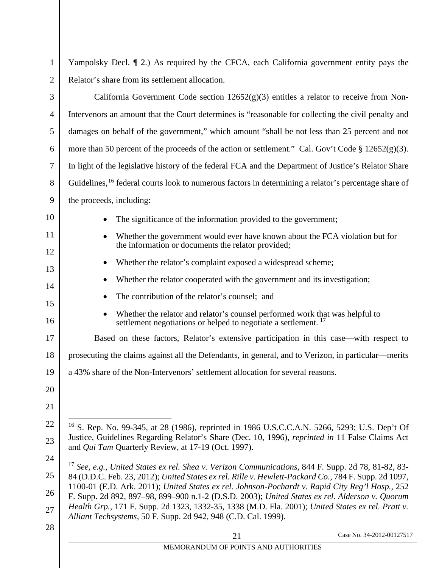<span id="page-27-8"></span><span id="page-27-7"></span><span id="page-27-6"></span><span id="page-27-5"></span><span id="page-27-4"></span><span id="page-27-3"></span><span id="page-27-2"></span><span id="page-27-1"></span><span id="page-27-0"></span>

| 1              | Yampolsky Decl. [2.] As required by the CFCA, each California government entity pays the                                                                                                          |
|----------------|---------------------------------------------------------------------------------------------------------------------------------------------------------------------------------------------------|
| $\overline{2}$ | Relator's share from its settlement allocation.                                                                                                                                                   |
| 3              | California Government Code section $12652(g)(3)$ entitles a relator to receive from Non-                                                                                                          |
| $\overline{4}$ | Intervenors an amount that the Court determines is "reasonable for collecting the civil penalty and                                                                                               |
| 5              | damages on behalf of the government," which amount "shall be not less than 25 percent and not                                                                                                     |
| 6              | more than 50 percent of the proceeds of the action or settlement." Cal. Gov't Code $\S 12652(g)(3)$ .                                                                                             |
| 7              | In light of the legislative history of the federal FCA and the Department of Justice's Relator Share                                                                                              |
| 8              | Guidelines, <sup>16</sup> federal courts look to numerous factors in determining a relator's percentage share of                                                                                  |
| 9              | the proceeds, including:                                                                                                                                                                          |
| 10             | The significance of the information provided to the government;                                                                                                                                   |
| 11             | Whether the government would ever have known about the FCA violation but for<br>$\bullet$<br>the information or documents the relator provided;                                                   |
| 12             | Whether the relator's complaint exposed a widespread scheme;<br>$\bullet$                                                                                                                         |
| 13             | Whether the relator cooperated with the government and its investigation;                                                                                                                         |
| 14<br>15       | The contribution of the relator's counsel; and                                                                                                                                                    |
| 16             | Whether the relator and relator's counsel performed work that was helpful to<br>$\bullet$<br>settlement negotiations or helped to negotiate a settlement. <sup>17</sup>                           |
| 17             | Based on these factors, Relator's extensive participation in this case—with respect to                                                                                                            |
| 18             | prosecuting the claims against all the Defendants, in general, and to Verizon, in particular—merits                                                                                               |
| 19             | a 43% share of the Non-Intervenors' settlement allocation for several reasons.                                                                                                                    |
| 20             |                                                                                                                                                                                                   |
| 21             |                                                                                                                                                                                                   |
| 22             | <sup>16</sup> S. Rep. No. 99-345, at 28 (1986), reprinted in 1986 U.S.C.C.A.N. 5266, 5293; U.S. Dep't Of                                                                                          |
| 23             | Justice, Guidelines Regarding Relator's Share (Dec. 10, 1996), <i>reprinted in</i> 11 False Claims Act<br>and Qui Tam Quarterly Review, at 17-19 (Oct. 1997).                                     |
| 24             | <sup>17</sup> See, e.g., United States ex rel. Shea v. Verizon Communications, 844 F. Supp. 2d 78, 81-82, 83-                                                                                     |
| 25             | 84 (D.D.C. Feb. 23, 2012); United States ex rel. Rille v. Hewlett-Packard Co., 784 F. Supp. 2d 1097,                                                                                              |
| 26             | 1100-01 (E.D. Ark. 2011); United States ex rel. Johnson-Pochardt v. Rapid City Reg'l Hosp., 252<br>F. Supp. 2d 892, 897–98, 899–900 n.1-2 (D.S.D. 2003); United States ex rel. Alderson v. Quorum |
| 27             | Health Grp., 171 F. Supp. 2d 1323, 1332-35, 1338 (M.D. Fla. 2001); United States ex rel. Pratt v.<br>Alliant Techsystems, 50 F. Supp. 2d 942, 948 (C.D. Cal. 1999).                               |
| 28             | Case No. 34-2012-00127517<br>21                                                                                                                                                                   |
|                | MEMORANDUM OF POINTS AND AUTHORITIES                                                                                                                                                              |
|                |                                                                                                                                                                                                   |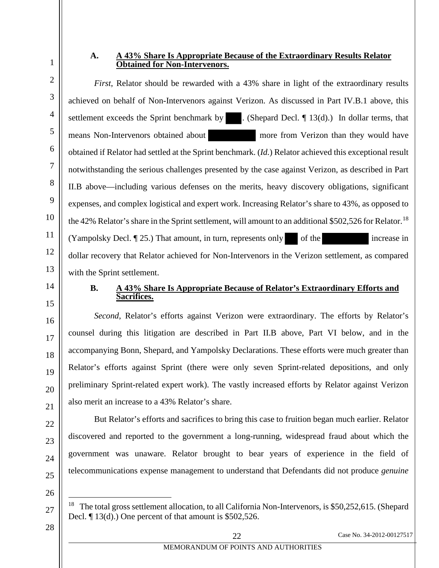#### **A. A 43% Share Is Appropriate Because of the Extraordinary Results Relator Obtained for Non-Intervenors.**

*First*, Relator should be rewarded with a 43% share in light of the extraordinary results achieved on behalf of Non-Intervenors against Verizon. As discussed in Part IV.B.1 above, this settlement exceeds the Sprint benchmark by  $\blacksquare$ . (Shepard Decl.  $\P$  13(d).) In dollar terms, that means Non-Intervenors obtained about more from Verizon than they would have obtained if Relator had settled at the Sprint benchmark. (*Id.*) Relator achieved this exceptional result notwithstanding the serious challenges presented by the case against Verizon, as described in Part II.B above—including various defenses on the merits, heavy discovery obligations, significant expenses, and complex logistical and expert work. Increasing Relator's share to 43%, as opposed to the 42% Relator's share in the Sprint settlement, will amount to an additional \$502,526 for Relator.<sup>[18](#page-28-2)</sup> (Yampolsky Decl. [25.) That amount, in turn, represents only of the increase in dollar recovery that Relator achieved for Non-Intervenors in the Verizon settlement, as compared

<span id="page-28-1"></span>with the Sprint settlement.

## **B. A 43% Share Is Appropriate Because of Relator's Extraordinary Efforts and Sacrifices.**

*Second*, Relator's efforts against Verizon were extraordinary. The efforts by Relator's counsel during this litigation are described in Part II.B above, Part VI below, and in the accompanying Bonn, Shepard, and Yampolsky Declarations. These efforts were much greater than Relator's efforts against Sprint (there were only seven Sprint-related depositions, and only preliminary Sprint-related expert work). The vastly increased efforts by Relator against Verizon also merit an increase to a 43% Relator's share.

But Relator's efforts and sacrifices to bring this case to fruition began much earlier. Relator discovered and reported to the government a long-running, widespread fraud about which the government was unaware. Relator brought to bear years of experience in the field of telecommunications expense management to understand that Defendants did not produce *genuine*

<span id="page-28-2"></span>26

<span id="page-28-0"></span>1

2

3

4

5

6

7

8

9

10

11

12

13

14

15

16

17

18

19

20

21

22

23

24

25

28

<sup>&</sup>lt;sup>18</sup> The total gross settlement allocation, to all California Non-Intervenors, is \$50,252,615. (Shepard Decl. ¶ 13(d).) One percent of that amount is \$502,526.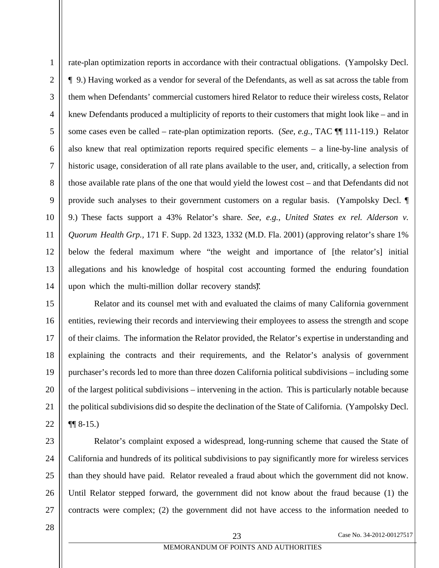1

rate-plan optimization reports in accordance with their contractual obligations. (Yampolsky Decl. ¶ 9.) Having worked as a vendor for several of the Defendants, as well as sat across the table from them when Defendants' commercial customers hired Relator to reduce their wireless costs, Relator knew Defendants produced a multiplicity of reports to their customers that might look like – and in some cases even be called – rate-plan optimization reports. (*See, e.g.*, TAC ¶¶ 111-119.) Relator also knew that real optimization reports required specific elements – a line-by-line analysis of historic usage, consideration of all rate plans available to the user, and, critically, a selection from those available rate plans of the one that would yield the lowest cost – and that Defendants did not provide such analyses to their government customers on a regular basis. (Yampolsky Decl. ¶ 9.) These facts support a 43% Relator's share. *See, e.g.*, *United States ex rel. Alderson v. Quorum Health Grp.,* 171 F. Supp. 2d 1323, 1332 (M.D. Fla. 2001) (approving relator's share 1% below the federal maximum where "the weight and importance of [the relator's] initial allegations and his knowledge of hospital cost accounting formed the enduring foundation upon which the multi-million dollar recovery stands).

<span id="page-29-0"></span>Relator and its counsel met with and evaluated the claims of many California government entities, reviewing their records and interviewing their employees to assess the strength and scope of their claims. The information the Relator provided, the Relator's expertise in understanding and explaining the contracts and their requirements, and the Relator's analysis of government purchaser's records led to more than three dozen California political subdivisions – including some of the largest political subdivisions – intervening in the action. This is particularly notable because the political subdivisions did so despite the declination of the State of California. (Yampolsky Decl.  $\P\P$  8-15.)

Relator's complaint exposed a widespread, long-running scheme that caused the State of California and hundreds of its political subdivisions to pay significantly more for wireless services than they should have paid. Relator revealed a fraud about which the government did not know. Until Relator stepped forward, the government did not know about the fraud because (1) the contracts were complex; (2) the government did not have access to the information needed to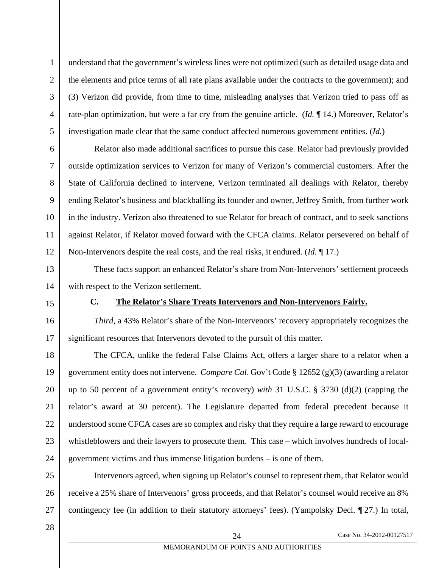2

3

understand that the government's wireless lines were not optimized (such as detailed usage data and the elements and price terms of all rate plans available under the contracts to the government); and (3) Verizon did provide, from time to time, misleading analyses that Verizon tried to pass off as rate-plan optimization, but were a far cry from the genuine article. (*Id.* ¶ 14.) Moreover, Relator's investigation made clear that the same conduct affected numerous government entities. (*Id.*)

Relator also made additional sacrifices to pursue this case. Relator had previously provided outside optimization services to Verizon for many of Verizon's commercial customers. After the State of California declined to intervene, Verizon terminated all dealings with Relator, thereby ending Relator's business and blackballing its founder and owner, Jeffrey Smith, from further work in the industry. Verizon also threatened to sue Relator for breach of contract, and to seek sanctions against Relator, if Relator moved forward with the CFCA claims. Relator persevered on behalf of Non-Intervenors despite the real costs, and the real risks, it endured. (*Id.* ¶ 17.)

These facts support an enhanced Relator's share from Non-Intervenors' settlement proceeds with respect to the Verizon settlement.

# <span id="page-30-2"></span><span id="page-30-1"></span><span id="page-30-0"></span>**C. The Relator's Share Treats Intervenors and Non-Intervenors Fairly.**

*Third*, a 43% Relator's share of the Non-Intervenors' recovery appropriately recognizes the significant resources that Intervenors devoted to the pursuit of this matter.

The CFCA, unlike the federal False Claims Act, offers a larger share to a relator when a government entity does not intervene. *Compare Cal*. Gov't Code § 12652 (g)(3) (awarding a relator up to 50 percent of a government entity's recovery) *with* 31 U.S.C. § 3730 (d)(2) (capping the relator's award at 30 percent). The Legislature departed from federal precedent because it understood some CFCA cases are so complex and risky that they require a large reward to encourage whistleblowers and their lawyers to prosecute them. This case – which involves hundreds of localgovernment victims and thus immense litigation burdens – is one of them.

Intervenors agreed, when signing up Relator's counsel to represent them, that Relator would receive a 25% share of Intervenors' gross proceeds, and that Relator's counsel would receive an 8% contingency fee (in addition to their statutory attorneys' fees). (Yampolsky Decl. ¶ 27.) In total,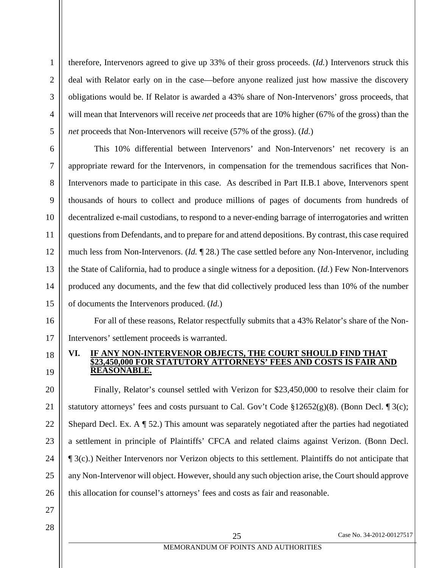therefore, Intervenors agreed to give up 33% of their gross proceeds. (*Id.*) Intervenors struck this deal with Relator early on in the case—before anyone realized just how massive the discovery obligations would be. If Relator is awarded a 43% share of Non-Intervenors' gross proceeds, that will mean that Intervenors will receive *net* proceeds that are 10% higher (67% of the gross) than the *net* proceeds that Non-Intervenors will receive (57% of the gross). (*Id.*)

This 10% differential between Intervenors' and Non-Intervenors' net recovery is an appropriate reward for the Intervenors, in compensation for the tremendous sacrifices that Non-Intervenors made to participate in this case. As described in Part II.B.1 above, Intervenors spent thousands of hours to collect and produce millions of pages of documents from hundreds of decentralized e-mail custodians, to respond to a never-ending barrage of interrogatories and written questions from Defendants, and to prepare for and attend depositions. By contrast, this case required much less from Non-Intervenors. (*Id.* ¶ 28.) The case settled before any Non-Intervenor, including the State of California, had to produce a single witness for a deposition. (*Id.*) Few Non-Intervenors produced any documents, and the few that did collectively produced less than 10% of the number of documents the Intervenors produced. (*Id.*)

For all of these reasons, Relator respectfully submits that a 43% Relator's share of the Non-Intervenors' settlement proceeds is warranted.

#### <span id="page-31-1"></span><span id="page-31-0"></span>**VI. IF ANY NON-INTERVENOR OBJECTS, THE COURT SHOULD FIND THAT \$23,450,000 FOR STATUTORY ATTORNEYS' FEES AND COSTS IS FAIR AND REASONABLE.**

20 21 22 23 24 25 26 Finally, Relator's counsel settled with Verizon for \$23,450,000 to resolve their claim for statutory attorneys' fees and costs pursuant to Cal. Gov't Code  $\S 12652(g)(8)$ . (Bonn Decl.  $\P 3(c)$ ; Shepard Decl. Ex. A ¶ 52.) This amount was separately negotiated after the parties had negotiated a settlement in principle of Plaintiffs' CFCA and related claims against Verizon. (Bonn Decl. ¶ 3(c).) Neither Intervenors nor Verizon objects to this settlement. Plaintiffs do not anticipate that any Non-Intervenor will object. However, should any such objection arise, the Court should approve this allocation for counsel's attorneys' fees and costs as fair and reasonable.

27 28

1

2

3

4

5

6

7

8

9

10

11

12

13

14

15

16

17

18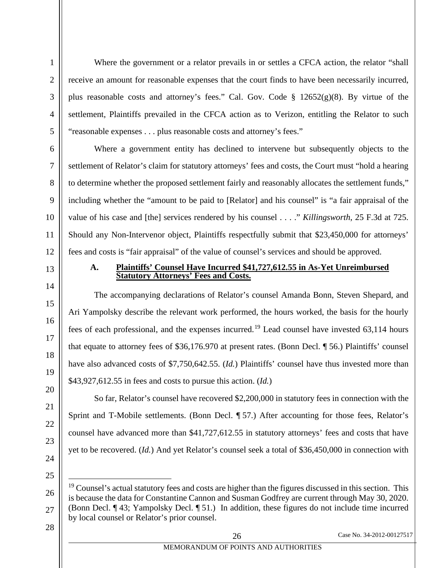<span id="page-32-2"></span>Where the government or a relator prevails in or settles a CFCA action, the relator "shall receive an amount for reasonable expenses that the court finds to have been necessarily incurred, plus reasonable costs and attorney's fees." Cal. Gov. Code § 12652(g)(8). By virtue of the settlement, Plaintiffs prevailed in the CFCA action as to Verizon, entitling the Relator to such "reasonable expenses . . . plus reasonable costs and attorney's fees."

Where a government entity has declined to intervene but subsequently objects to the settlement of Relator's claim for statutory attorneys' fees and costs, the Court must "hold a hearing to determine whether the proposed settlement fairly and reasonably allocates the settlement funds," including whether the "amount to be paid to [Relator] and his counsel" is "a fair appraisal of the value of his case and [the] services rendered by his counsel . . . ." *Killingsworth*, 25 F.3d at 725. Should any Non-Intervenor object, Plaintiffs respectfully submit that \$23,450,000 for attorneys' fees and costs is "fair appraisal" of the value of counsel's services and should be approved.

#### <span id="page-32-1"></span><span id="page-32-0"></span>**A. Plaintiffs' Counsel Have Incurred \$41,727,612.55 in As-Yet Unreimbursed Statutory Attorneys' Fees and Costs.**

The accompanying declarations of Relator's counsel Amanda Bonn, Steven Shepard, and Ari Yampolsky describe the relevant work performed, the hours worked, the basis for the hourly fees of each professional, and the expenses incurred.<sup>[19](#page-32-3)</sup> Lead counsel have invested  $63,114$  hours that equate to attorney fees of \$36,176.970 at present rates. (Bonn Decl. ¶ 56.) Plaintiffs' counsel have also advanced costs of \$7,750,642.55. *(Id.)* Plaintiffs' counsel have thus invested more than \$43,927,612.55 in fees and costs to pursue this action. (*Id.*)

So far, Relator's counsel have recovered \$2,200,000 in statutory fees in connection with the Sprint and T-Mobile settlements. (Bonn Decl. ¶ 57.) After accounting for those fees, Relator's counsel have advanced more than \$41,727,612.55 in statutory attorneys' fees and costs that have yet to be recovered. (*Id.*) And yet Relator's counsel seek a total of \$36,450,000 in connection with

1

2

3

4

<span id="page-32-3"></span> $19$  Counsel's actual statutory fees and costs are higher than the figures discussed in this section. This is because the data for Constantine Cannon and Susman Godfrey are current through May 30, 2020. (Bonn Decl. ¶ 43; Yampolsky Decl. ¶ 51.) In addition, these figures do not include time incurred by local counsel or Relator's prior counsel.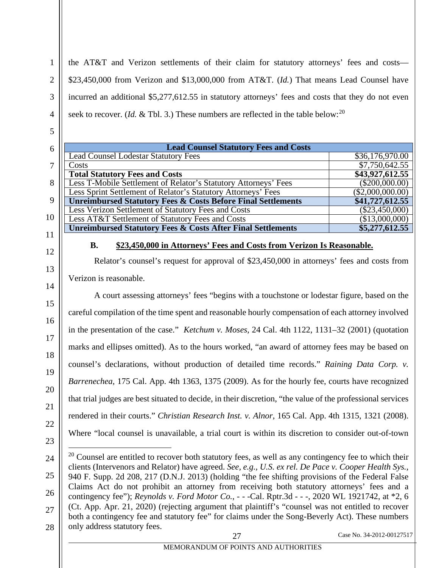the AT&T and Verizon settlements of their claim for statutory attorneys' fees and costs— \$23,450,000 from Verizon and \$13,000,000 from AT&T. (*Id.*) That means Lead Counsel have incurred an additional \$5,277,612.55 in statutory attorneys' fees and costs that they do not even seek to recover. (*Id.* & Tbl. 3.) These numbers are reflected in the table below:<sup>[20](#page-33-5)</sup>

| 6  | <b>Lead Counsel Statutory Fees and Costs</b>                            |                  |
|----|-------------------------------------------------------------------------|------------------|
|    | <b>Lead Counsel Lodestar Statutory Fees</b>                             | \$36,176,970.00  |
|    | Costs                                                                   | \$7,750,642.55   |
|    | <b>Total Statutory Fees and Costs</b>                                   | \$43,927,612.55  |
| 8  | Less T-Mobile Settlement of Relator's Statutory Attorneys' Fees         | $(\$200,000.00)$ |
|    | Less Sprint Settlement of Relator's Statutory Attorneys' Fees           | (\$2,000,000.00) |
| 9  | <b>Unreimbursed Statutory Fees &amp; Costs Before Final Settlements</b> | \$41,727,612.55  |
|    | Less Verizon Settlement of Statutory Fees and Costs                     | $(\$23,450,000)$ |
| 10 | Less AT&T Settlement of Statutory Fees and Costs                        | (\$13,000,000)   |
|    | <b>Unreimbursed Statutory Fees &amp; Costs After Final Settlements</b>  | \$5,277,612.55   |
|    |                                                                         |                  |

12

13

14

15

16

17

18

19

1

2

3

4

5

#### <span id="page-33-3"></span>**B. \$23,450,000 in Attorneys' Fees and Costs from Verizon Is Reasonable.**

<span id="page-33-0"></span>Relator's counsel's request for approval of \$23,450,000 in attorneys' fees and costs from Verizon is reasonable.

A court assessing attorneys' fees "begins with a touchstone or lodestar figure, based on the careful compilation of the time spent and reasonable hourly compensation of each attorney involved in the presentation of the case." *Ketchum v. Moses*, 24 Cal. 4th 1122, 1131–32 (2001) (quotation marks and ellipses omitted). As to the hours worked, "an award of attorney fees may be based on counsel's declarations, without production of detailed time records." *Raining Data Corp. v. Barrenechea*, 175 Cal. App. 4th 1363, 1375 (2009). As for the hourly fee, courts have recognized that trial judges are best situated to decide, in their discretion, "the value of the professional services rendered in their courts." *Christian Research Inst. v. Alnor*, 165 Cal. App. 4th 1315, 1321 (2008). Where "local counsel is unavailable, a trial court is within its discretion to consider out-of-town

<span id="page-33-4"></span><span id="page-33-2"></span>27 Case No. 34-2012-00127517

<span id="page-33-5"></span><span id="page-33-1"></span> $20$  Counsel are entitled to recover both statutory fees, as well as any contingency fee to which their clients (Intervenors and Relator) have agreed. *See, e.g.*, *U.S. ex rel. De Pace v. Cooper Health Sys.*, 940 F. Supp. 2d 208, 217 (D.N.J. 2013) (holding "the fee shifting provisions of the Federal False Claims Act do not prohibit an attorney from receiving both statutory attorneys' fees and a contingency fee"); *Reynolds v. Ford Motor Co.*, - - -Cal. Rptr.3d - - -, 2020 WL 1921742, at \*2, 6 (Ct. App. Apr. 21, 2020) (rejecting argument that plaintiff's "counsel was not entitled to recover both a contingency fee and statutory fee" for claims under the Song-Beverly Act). These numbers only address statutory fees.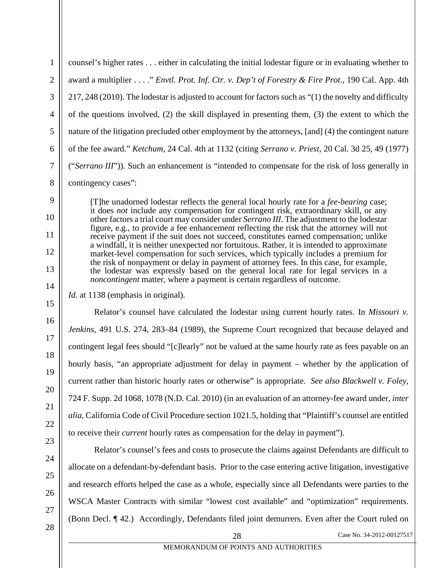<span id="page-34-1"></span>1 2 3 4 5 6 7 counsel's higher rates . . . either in calculating the initial lodestar figure or in evaluating whether to award a multiplier . . . ." *Envtl. Prot. Inf. Ctr. v. Dep't of Forestry & Fire Prot.*, 190 Cal. App. 4th 217, 248 (2010). The lodestar is adjusted to account for factors such as "(1) the novelty and difficulty of the questions involved, (2) the skill displayed in presenting them, (3) the extent to which the nature of the litigation precluded other employment by the attorneys, [and] (4) the contingent nature of the fee award." *Ketchum*, 24 Cal. 4th at 1132 (citing *Serrano v. Priest*, 20 Cal. 3d 25, 49 (1977) ("*Serrano III*"))*.* Such an enhancement is "intended to compensate for the risk of loss generally in contingency cases":

<span id="page-34-2"></span>[T]he unadorned lodestar reflects the general local hourly rate for a *fee-bearing* case; it does *not* include any compensation for contingent risk, extraordinary skill, or any other factors a trial court may consider under *Serrano III*. The adjustment to the lodestar figure, e.g., to provide a fee enhancement reflecting the risk that the attorney will not receive payment if the suit does not succeed, constitutes earned compensation; unlike a windfall, it is neither unexpected nor fortuitous. Rather, it is intended to approximate market-level compensation for such services, which typically includes a premium for the risk of nonpayment or delay in payment of attorney fees. In this case, for example, the lodestar was expressly based on the general local rate for legal services in a *noncontingent* matter, where a payment is certain regardless of outcome.

*Id.* at 1138 (emphasis in original).

Relator's counsel have calculated the lodestar using current hourly rates. In *Missouri v. Jenkins*, 491 U.S. 274, 283–84 (1989), the Supreme Court recognized that because delayed and contingent legal fees should "[c]learly" not be valued at the same hourly rate as fees payable on an hourly basis, "an appropriate adjustment for delay in payment – whether by the application of current rather than historic hourly rates or otherwise" is appropriate. *See also Blackwell v. Foley*, 724 F. Supp. 2d 1068, 1078 (N.D. Cal. 2010) (in an evaluation of an attorney-fee award under, *inter alia*, California Code of Civil Procedure section 1021.5, holding that "Plaintiff's counsel are entitled to receive their *current* hourly rates as compensation for the delay in payment").

<span id="page-34-4"></span>Relator's counsel's fees and costs to prosecute the claims against Defendants are difficult to allocate on a defendant-by-defendant basis. Prior to the case entering active litigation, investigative and research efforts helped the case as a whole, especially since all Defendants were parties to the WSCA Master Contracts with similar "lowest cost available" and "optimization" requirements. (Bonn Decl. ¶ 42.) Accordingly, Defendants filed joint demurrers. Even after the Court ruled on

<span id="page-34-3"></span><span id="page-34-0"></span>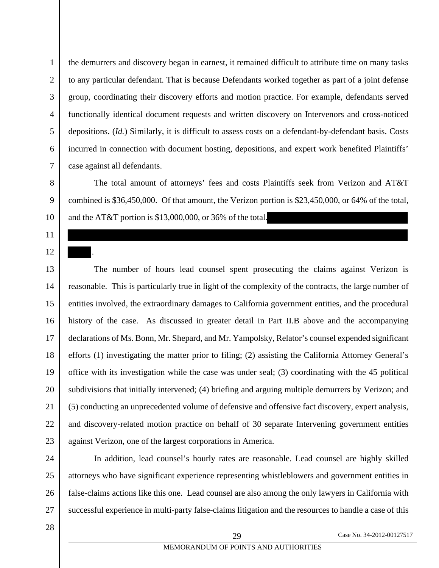the demurrers and discovery began in earnest, it remained difficult to attribute time on many tasks to any particular defendant. That is because Defendants worked together as part of a joint defense group, coordinating their discovery efforts and motion practice. For example, defendants served functionally identical document requests and written discovery on Intervenors and cross-noticed depositions. (*Id.*) Similarly, it is difficult to assess costs on a defendant-by-defendant basis. Costs incurred in connection with document hosting, depositions, and expert work benefited Plaintiffs' case against all defendants.

The total amount of attorneys' fees and costs Plaintiffs seek from Verizon and AT&T combined is \$36,450,000. Of that amount, the Verizon portion is \$23,450,000, or 64% of the total, and the AT&T portion is \$13,000,000, or 36% of the total.

.

The number of hours lead counsel spent prosecuting the claims against Verizon is reasonable. This is particularly true in light of the complexity of the contracts, the large number of entities involved, the extraordinary damages to California government entities, and the procedural history of the case. As discussed in greater detail in Part II.B above and the accompanying declarations of Ms. Bonn, Mr. Shepard, and Mr. Yampolsky, Relator's counsel expended significant efforts (1) investigating the matter prior to filing; (2) assisting the California Attorney General's office with its investigation while the case was under seal; (3) coordinating with the 45 political subdivisions that initially intervened; (4) briefing and arguing multiple demurrers by Verizon; and (5) conducting an unprecedented volume of defensive and offensive fact discovery, expert analysis, and discovery-related motion practice on behalf of 30 separate Intervening government entities against Verizon, one of the largest corporations in America.

In addition, lead counsel's hourly rates are reasonable. Lead counsel are highly skilled attorneys who have significant experience representing whistleblowers and government entities in false-claims actions like this one. Lead counsel are also among the only lawyers in California with successful experience in multi-party false-claims litigation and the resources to handle a case of this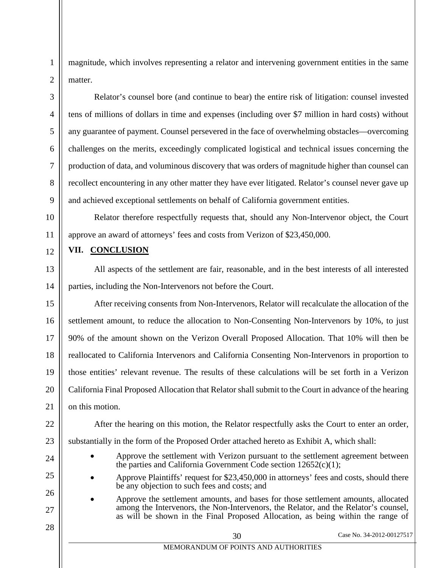magnitude, which involves representing a relator and intervening government entities in the same matter.

Relator's counsel bore (and continue to bear) the entire risk of litigation: counsel invested tens of millions of dollars in time and expenses (including over \$7 million in hard costs) without any guarantee of payment. Counsel persevered in the face of overwhelming obstacles—overcoming challenges on the merits, exceedingly complicated logistical and technical issues concerning the production of data, and voluminous discovery that was orders of magnitude higher than counsel can recollect encountering in any other matter they have ever litigated. Relator's counsel never gave up and achieved exceptional settlements on behalf of California government entities.

Relator therefore respectfully requests that, should any Non-Intervenor object, the Court approve an award of attorneys' fees and costs from Verizon of \$23,450,000.

### <span id="page-36-0"></span>**VII. CONCLUSION**

All aspects of the settlement are fair, reasonable, and in the best interests of all interested parties, including the Non-Intervenors not before the Court.

After receiving consents from Non-Intervenors, Relator will recalculate the allocation of the settlement amount, to reduce the allocation to Non-Consenting Non-Intervenors by 10%, to just 90% of the amount shown on the Verizon Overall Proposed Allocation. That 10% will then be reallocated to California Intervenors and California Consenting Non-Intervenors in proportion to those entities' relevant revenue. The results of these calculations will be set forth in a Verizon California Final Proposed Allocation that Relator shall submit to the Court in advance of the hearing on this motion.

After the hearing on this motion, the Relator respectfully asks the Court to enter an order, substantially in the form of the Proposed Order attached hereto as Exhibit A, which shall:

- <span id="page-36-1"></span>• Approve the settlement with Verizon pursuant to the settlement agreement between the parties and California Government Code section  $12652(c)(1)$ ;
- Approve Plaintiffs' request for \$23,450,000 in attorneys' fees and costs, should there be any objection to such fees and costs; and
- Approve the settlement amounts, and bases for those settlement amounts, allocated among the Intervenors, the Non-Intervenors, the Relator, and the Relator's counsel, as will be shown in the Final Proposed Allocation, as being within the range of

30 Case No. 34-2012-00127517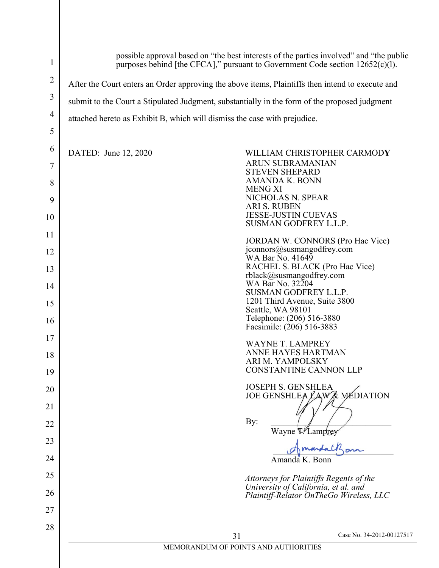| $\mathbf{1}$   | possible approval based on "the best interests of the parties involved" and "the public<br>purposes behind [the CFCA]," pursuant to Government Code section $12652(c)(1)$ . |                                                                                 |  |  |
|----------------|-----------------------------------------------------------------------------------------------------------------------------------------------------------------------------|---------------------------------------------------------------------------------|--|--|
| $\overline{2}$ | After the Court enters an Order approving the above items, Plaintiffs then intend to execute and                                                                            |                                                                                 |  |  |
| $\mathfrak{Z}$ | submit to the Court a Stipulated Judgment, substantially in the form of the proposed judgment                                                                               |                                                                                 |  |  |
| $\overline{4}$ | attached hereto as Exhibit B, which will dismiss the case with prejudice.                                                                                                   |                                                                                 |  |  |
| 5              |                                                                                                                                                                             |                                                                                 |  |  |
| 6              | DATED: June 12, 2020                                                                                                                                                        | WILLIAM CHRISTOPHER CARMODY                                                     |  |  |
| 7              |                                                                                                                                                                             | <b>ARUN SUBRAMANIAN</b><br><b>STEVEN SHEPARD</b>                                |  |  |
| 8              |                                                                                                                                                                             | <b>AMANDA K. BONN</b><br><b>MENG XI</b>                                         |  |  |
| 9              |                                                                                                                                                                             | NICHOLAS N. SPEAR<br><b>ARI S. RUBEN</b>                                        |  |  |
| 10             |                                                                                                                                                                             | <b>JESSE-JUSTIN CUEVAS</b><br>SUSMAN GODFREY L.L.P.                             |  |  |
| 11             |                                                                                                                                                                             | JORDAN W. CONNORS (Pro Hac Vice)                                                |  |  |
| 12             | jconnors@susmangodfrey.com<br>WA Bar No. 41649<br>RACHEL S. BLACK (Pro Hac Vice)<br>rblack@susmangodfrey.com                                                                |                                                                                 |  |  |
| 13             |                                                                                                                                                                             |                                                                                 |  |  |
| 14             |                                                                                                                                                                             | WA Bar No. 32204<br>SUSMAN GODFREY L.L.P.                                       |  |  |
| 15             |                                                                                                                                                                             | 1201 Third Avenue, Suite 3800<br>Seattle, WA 98101                              |  |  |
| 16             |                                                                                                                                                                             | Telephone: (206) 516-3880<br>Facsimile: (206) 516-3883                          |  |  |
| 17             |                                                                                                                                                                             | <b>WAYNE T. LAMPREY</b>                                                         |  |  |
| 18             |                                                                                                                                                                             | ANNE HAYES HARTMAN<br>ARI M. YAMPOLSKY                                          |  |  |
| 19             |                                                                                                                                                                             | <b>CONSTANTINE CANNON LLP</b>                                                   |  |  |
| 20             |                                                                                                                                                                             | <b>JOSEPH S. GENSHLEA</b><br>JOE GENSHLEA LAWA MÉDIATION                        |  |  |
| 21             |                                                                                                                                                                             |                                                                                 |  |  |
| 22             | By:<br>Wayne P. Lamprey                                                                                                                                                     |                                                                                 |  |  |
| 23             |                                                                                                                                                                             |                                                                                 |  |  |
| 24             |                                                                                                                                                                             | Amanda K. Bonn                                                                  |  |  |
| 25             |                                                                                                                                                                             | Attorneys for Plaintiffs Regents of the                                         |  |  |
| 26             |                                                                                                                                                                             | University of California, et al. and<br>Plaintiff-Relator OnTheGo Wireless, LLC |  |  |
| 27             |                                                                                                                                                                             |                                                                                 |  |  |
| 28             |                                                                                                                                                                             | Case No. 34-2012-00127517<br>31                                                 |  |  |
|                |                                                                                                                                                                             | MEMORANDUM OF POINTS AND AUTHORITIES                                            |  |  |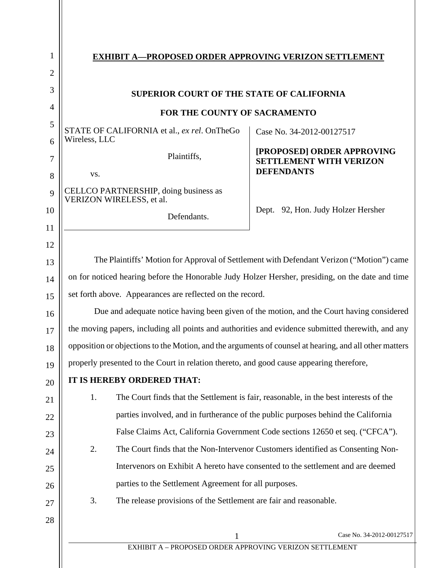| 1              | <b>EXHIBIT A-PROPOSED ORDER APPROVING VERIZON SETTLEMENT</b>                                           |                                                                                          |  |
|----------------|--------------------------------------------------------------------------------------------------------|------------------------------------------------------------------------------------------|--|
| $\overline{2}$ |                                                                                                        |                                                                                          |  |
| 3              | SUPERIOR COURT OF THE STATE OF CALIFORNIA                                                              |                                                                                          |  |
| 4              | FOR THE COUNTY OF SACRAMENTO                                                                           |                                                                                          |  |
| 5              | STATE OF CALIFORNIA et al., ex rel. OnTheGo                                                            | Case No. 34-2012-00127517                                                                |  |
| 6              | Wireless, LLC                                                                                          |                                                                                          |  |
| 7              | Plaintiffs,                                                                                            | [PROPOSED] ORDER APPROVING<br><b>SETTLEMENT WITH VERIZON</b>                             |  |
| 8              | VS.                                                                                                    | <b>DEFENDANTS</b>                                                                        |  |
| 9              | CELLCO PARTNERSHIP, doing business as<br>VERIZON WIRELESS, et al.                                      |                                                                                          |  |
| 10             | Defendants.                                                                                            | Dept. 92, Hon. Judy Holzer Hersher                                                       |  |
| 11             |                                                                                                        |                                                                                          |  |
| 12             |                                                                                                        |                                                                                          |  |
| 13             |                                                                                                        | The Plaintiffs' Motion for Approval of Settlement with Defendant Verizon ("Motion") came |  |
| 14             | on for noticed hearing before the Honorable Judy Holzer Hersher, presiding, on the date and time       |                                                                                          |  |
| 15             | set forth above. Appearances are reflected on the record.                                              |                                                                                          |  |
| 16             | Due and adequate notice having been given of the motion, and the Court having considered               |                                                                                          |  |
| 17             | the moving papers, including all points and authorities and evidence submitted therewith, and any      |                                                                                          |  |
| 18             | opposition or objections to the Motion, and the arguments of counsel at hearing, and all other matters |                                                                                          |  |
| 19             | properly presented to the Court in relation thereto, and good cause appearing therefore,               |                                                                                          |  |
| 20             | IT IS HEREBY ORDERED THAT:                                                                             |                                                                                          |  |
| 21             | The Court finds that the Settlement is fair, reasonable, in the best interests of the<br>1.            |                                                                                          |  |
| 22             | parties involved, and in furtherance of the public purposes behind the California                      |                                                                                          |  |
| 23             | False Claims Act, California Government Code sections 12650 et seq. ("CFCA").                          |                                                                                          |  |
| 24             | The Court finds that the Non-Intervenor Customers identified as Consenting Non-<br>2.                  |                                                                                          |  |
| 25             | Intervenors on Exhibit A hereto have consented to the settlement and are deemed                        |                                                                                          |  |
| 26             | parties to the Settlement Agreement for all purposes.                                                  |                                                                                          |  |
| 27             | 3.<br>The release provisions of the Settlement are fair and reasonable.                                |                                                                                          |  |
| 28             |                                                                                                        |                                                                                          |  |
|                | 1                                                                                                      | Case No. 34-2012-00127517                                                                |  |
|                | EXHIBIT A - PROPOSED ORDER APPROVING VERIZON SETTLEMENT                                                |                                                                                          |  |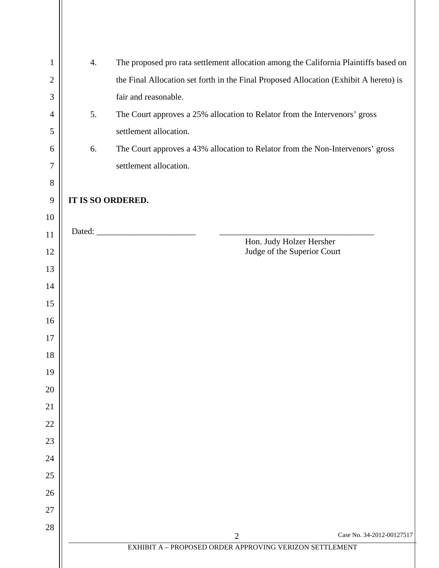| 1            | 4. | The proposed pro rata settlement allocation among the California Plaintiffs based on  |
|--------------|----|---------------------------------------------------------------------------------------|
| $\mathbf{2}$ |    | the Final Allocation set forth in the Final Proposed Allocation (Exhibit A hereto) is |
| 3            |    | fair and reasonable.                                                                  |
| 4            | 5. | The Court approves a 25% allocation to Relator from the Intervenors' gross            |
| 5            |    | settlement allocation.                                                                |
| 6            | 6. | The Court approves a 43% allocation to Relator from the Non-Intervenors' gross        |
| 7            |    | settlement allocation.                                                                |
| $8\,$        |    |                                                                                       |
| $\mathbf{9}$ |    | IT IS SO ORDERED.                                                                     |
| 10           |    |                                                                                       |
| 11           |    | Hon. Judy Holzer Hersher                                                              |
| 12           |    | Judge of the Superior Court                                                           |
| 13           |    |                                                                                       |
| 14           |    |                                                                                       |
| 15           |    |                                                                                       |
| 16           |    |                                                                                       |
| 17           |    |                                                                                       |
| 18           |    |                                                                                       |
| 19           |    |                                                                                       |
| 20           |    |                                                                                       |
| 21           |    |                                                                                       |
| 22           |    |                                                                                       |
| 23           |    |                                                                                       |
| 24           |    |                                                                                       |
| 25           |    |                                                                                       |
| 26           |    |                                                                                       |
| 27<br>28     |    |                                                                                       |
|              |    | Case No. 34-2012-00127517<br>$\overline{2}$                                           |
|              |    | EXHIBIT A - PROPOSED ORDER APPROVING VERIZON SETTLEMENT                               |
|              |    |                                                                                       |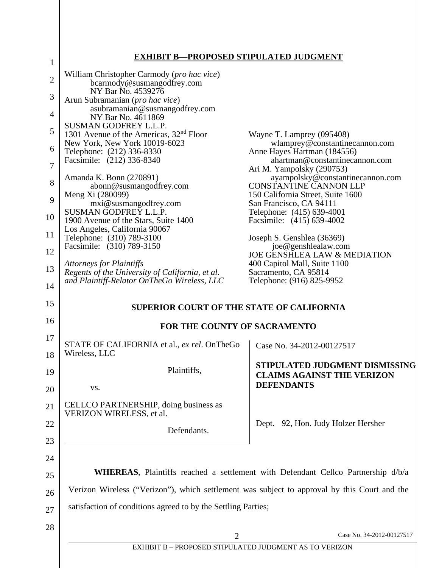# **EXHIBIT B—PROPOSED STIPULATED JUDGMENT**

| $\mathbf{1}$   |                                                                                                       | KUI USED STII ULATED JUDGIJIEN I                                                               |
|----------------|-------------------------------------------------------------------------------------------------------|------------------------------------------------------------------------------------------------|
| $\overline{2}$ | William Christopher Carmody (pro hac vice)<br>bcarmody@susmangodfrey.com                              |                                                                                                |
| 3              | NY Bar No. 4539276<br>Arun Subramanian (pro hac vice)                                                 |                                                                                                |
| 4              | asubramanian@susmangodfrey.com<br>NY Bar No. 4611869                                                  |                                                                                                |
| 5              | SUSMAN GODFREY L.L.P.<br>1301 Avenue of the Americas, 32 <sup>nd</sup> Floor                          | Wayne T. Lamprey (095408)                                                                      |
| 6              | New York, New York 10019-6023<br>Telephone: (212) 336-8330                                            | wlamprey@constantinecannon.com<br>Anne Hayes Hartman (184556)                                  |
| 7              | Facsimile: (212) 336-8340                                                                             | ahartman@constantinecannon.com                                                                 |
| 8              | Amanda K. Bonn (270891)<br>abonn@susmangodfrey.com                                                    | Ari M. Yampolsky (290753)<br>ayampolsky@constantinecannon.com<br><b>CONSTANTINE CANNON LLP</b> |
|                | Meng Xi (280099)                                                                                      | 150 California Street, Suite 1600                                                              |
| 9              | mxi@susmangodfrey.com                                                                                 | San Francisco, CA 94111                                                                        |
| 10             | <b>SUSMAN GODFREY L.L.P.</b><br>1900 Avenue of the Stars, Suite 1400<br>Los Angeles, California 90067 | Telephone: (415) 639-4001<br>Facsimile: (415) 639-4002                                         |
| 11             | Telephone: (310) 789-3100                                                                             | Joseph S. Genshlea (36369)                                                                     |
| 12             | Facsimile: (310) 789-3150                                                                             | joe@genshlealaw.com<br><b>JOE GENSHLEA LAW &amp; MEDIATION</b>                                 |
| 13             | <b>Attorneys for Plaintiffs</b>                                                                       | 400 Capitol Mall, Suite 1100                                                                   |
| 14             | Regents of the University of California, et al.<br>and Plaintiff-Relator OnTheGo Wireless, LLC        | Sacramento, CA 95814<br>Telephone: (916) 825-9952                                              |
| 15             | <b>SUPERIOR COURT OF THE STATE OF CALIFORNIA</b>                                                      |                                                                                                |
| 16             |                                                                                                       |                                                                                                |
|                | FOR THE COUNTY OF SACRAMENTO                                                                          |                                                                                                |
| 17<br>18       | STATE OF CALIFORNIA et al., ex rel. OnTheGo<br>Wireless, LLC                                          | Case No. 34-2012-00127517                                                                      |
| 19             | Plaintiffs,                                                                                           | STIPULATED JUDGMENT DISMISSING<br><b>CLAIMS AGAINST THE VERIZON</b>                            |
| 20             | VS.                                                                                                   | <b>DEFENDANTS</b>                                                                              |
| 21             | CELLCO PARTNERSHIP, doing business as<br>VERIZON WIRELESS, et al.                                     |                                                                                                |
| 22             | Defendants.                                                                                           | Dept. 92, Hon. Judy Holzer Hersher                                                             |
| 23             |                                                                                                       |                                                                                                |
| 24             |                                                                                                       |                                                                                                |
| 25             |                                                                                                       | <b>WHEREAS</b> , Plaintiffs reached a settlement with Defendant Cellco Partnership d/b/a       |
| 26             | Verizon Wireless ("Verizon"), which settlement was subject to approval by this Court and the          |                                                                                                |
| 27             | satisfaction of conditions agreed to by the Settling Parties;                                         |                                                                                                |
| 28             |                                                                                                       |                                                                                                |
|                | $\overline{2}$                                                                                        | Case No. 34-2012-00127517                                                                      |
|                | EXHIBIT B - PROPOSED STIPULATED JUDGMENT AS TO VERIZON                                                |                                                                                                |
|                |                                                                                                       |                                                                                                |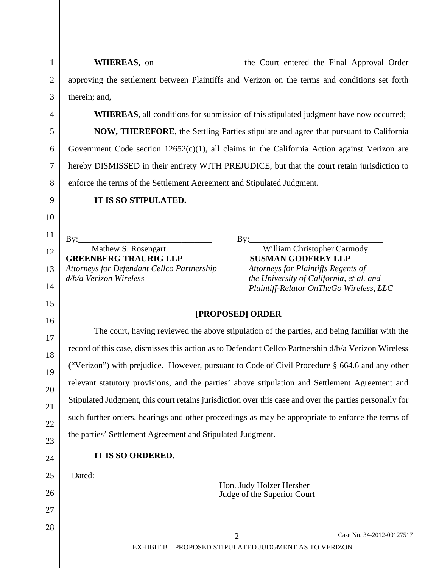WHEREAS, on \_\_\_\_\_\_\_\_\_\_\_\_\_\_\_\_\_\_\_\_\_ the Court entered the Final Approval Order approving the settlement between Plaintiffs and Verizon on the terms and conditions set forth therein; and,

**WHEREAS**, all conditions for submission of this stipulated judgment have now occurred;

**NOW, THEREFORE**, the Settling Parties stipulate and agree that pursuant to California Government Code section 12652(c)(1), all claims in the California Action against Verizon are hereby DISMISSED in their entirety WITH PREJUDICE, but that the court retain jurisdiction to enforce the terms of the Settlement Agreement and Stipulated Judgment.

**IT IS SO STIPULATED.**

 $By:$ Mathew S. Rosengart **GREENBERG TRAURIG LLP** *Attorneys for Defendant Cellco Partnership d/b/a Verizon Wireless*

 $By:$ 

William Christopher Carmody  **SUSMAN GODFREY LLP** *Attorneys for Plaintiffs Regents of the University of California, et al. and Plaintiff-Relator OnTheGo Wireless, LLC* 

#### [**PROPOSED] ORDER**

The court, having reviewed the above stipulation of the parties, and being familiar with the record of this case, dismisses this action as to Defendant Cellco Partnership d/b/a Verizon Wireless ("Verizon") with prejudice. However, pursuant to Code of Civil Procedure § 664.6 and any other relevant statutory provisions, and the parties' above stipulation and Settlement Agreement and Stipulated Judgment, this court retains jurisdiction over this case and over the parties personally for such further orders, hearings and other proceedings as may be appropriate to enforce the terms of the parties' Settlement Agreement and Stipulated Judgment.

### **IT IS SO ORDERED.**

25 Dated:

1

2

3

4

5

6

7

8

9

10

11

12

13

14

15

16

17

18

19

20

21

22

23

24

26

27

28

Hon. Judy Holzer Hersher Judge of the Superior Court

2 Case No. 34-2012-00127517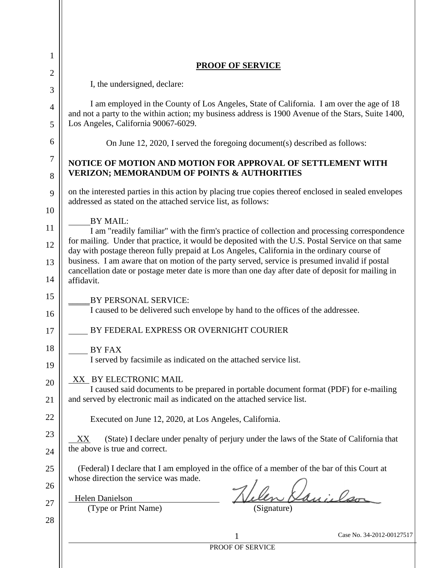| 1              |                                                                                                                                                                                                                                                                                                                                                                                                                       |  |  |  |
|----------------|-----------------------------------------------------------------------------------------------------------------------------------------------------------------------------------------------------------------------------------------------------------------------------------------------------------------------------------------------------------------------------------------------------------------------|--|--|--|
| 2              | <b>PROOF OF SERVICE</b>                                                                                                                                                                                                                                                                                                                                                                                               |  |  |  |
| 3              | I, the undersigned, declare:                                                                                                                                                                                                                                                                                                                                                                                          |  |  |  |
| $\overline{4}$ | I am employed in the County of Los Angeles, State of California. I am over the age of 18<br>and not a party to the within action; my business address is 1900 Avenue of the Stars, Suite 1400,                                                                                                                                                                                                                        |  |  |  |
| 5              | Los Angeles, California 90067-6029.                                                                                                                                                                                                                                                                                                                                                                                   |  |  |  |
| 6              | On June 12, 2020, I served the foregoing document(s) described as follows:                                                                                                                                                                                                                                                                                                                                            |  |  |  |
| 7<br>8         | NOTICE OF MOTION AND MOTION FOR APPROVAL OF SETTLEMENT WITH<br><b>VERIZON; MEMORANDUM OF POINTS &amp; AUTHORITIES</b>                                                                                                                                                                                                                                                                                                 |  |  |  |
| 9              | on the interested parties in this action by placing true copies thereof enclosed in sealed envelopes<br>addressed as stated on the attached service list, as follows:                                                                                                                                                                                                                                                 |  |  |  |
| 10             |                                                                                                                                                                                                                                                                                                                                                                                                                       |  |  |  |
| 11             | <b>BY MAIL:</b><br>I am "readily familiar" with the firm's practice of collection and processing correspondence                                                                                                                                                                                                                                                                                                       |  |  |  |
| 12             | for mailing. Under that practice, it would be deposited with the U.S. Postal Service on that same<br>day with postage thereon fully prepaid at Los Angeles, California in the ordinary course of<br>business. I am aware that on motion of the party served, service is presumed invalid if postal<br>cancellation date or postage meter date is more than one day after date of deposit for mailing in<br>affidavit. |  |  |  |
| 13<br>14       |                                                                                                                                                                                                                                                                                                                                                                                                                       |  |  |  |
| 15             |                                                                                                                                                                                                                                                                                                                                                                                                                       |  |  |  |
| 16             | BY PERSONAL SERVICE:<br>I caused to be delivered such envelope by hand to the offices of the addressee.                                                                                                                                                                                                                                                                                                               |  |  |  |
| 17             | BY FEDERAL EXPRESS OR OVERNIGHT COURIER                                                                                                                                                                                                                                                                                                                                                                               |  |  |  |
| 18             | BY FAX                                                                                                                                                                                                                                                                                                                                                                                                                |  |  |  |
| 19             | I served by facsimile as indicated on the attached service list.                                                                                                                                                                                                                                                                                                                                                      |  |  |  |
| 20             | XX BY ELECTRONIC MAIL                                                                                                                                                                                                                                                                                                                                                                                                 |  |  |  |
| 21             | I caused said documents to be prepared in portable document format (PDF) for e-mailing<br>and served by electronic mail as indicated on the attached service list.                                                                                                                                                                                                                                                    |  |  |  |
| 22             | Executed on June 12, 2020, at Los Angeles, California.                                                                                                                                                                                                                                                                                                                                                                |  |  |  |
| 23             | (State) I declare under penalty of perjury under the laws of the State of California that<br>XX<br>the above is true and correct.                                                                                                                                                                                                                                                                                     |  |  |  |
| 24             |                                                                                                                                                                                                                                                                                                                                                                                                                       |  |  |  |
| 25<br>26       | (Federal) I declare that I am employed in the office of a member of the bar of this Court at<br>whose direction the service was made.                                                                                                                                                                                                                                                                                 |  |  |  |
|                | Lui, lar<br><b>Helen Danielson</b>                                                                                                                                                                                                                                                                                                                                                                                    |  |  |  |
| 27             | (Type or Print Name)<br>(Signature)                                                                                                                                                                                                                                                                                                                                                                                   |  |  |  |
| 28             | Case No. 34-2012-00127517                                                                                                                                                                                                                                                                                                                                                                                             |  |  |  |
|                | 1<br>PROOF OF SERVICE                                                                                                                                                                                                                                                                                                                                                                                                 |  |  |  |
|                |                                                                                                                                                                                                                                                                                                                                                                                                                       |  |  |  |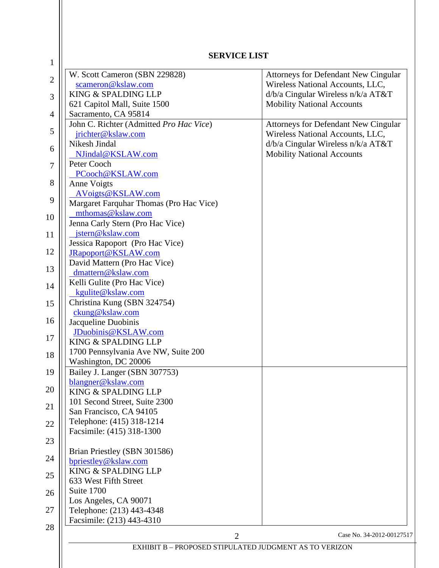| W. Scott Cameron (SBN 229828)                     | Attorneys for Defendant New Cingular |
|---------------------------------------------------|--------------------------------------|
| scameron@kslaw.com                                | Wireless National Accounts, LLC,     |
| KING & SPALDING LLP                               | d/b/a Cingular Wireless n/k/a AT&T   |
| 621 Capitol Mall, Suite 1500                      | <b>Mobility National Accounts</b>    |
| Sacramento, CA 95814                              |                                      |
| John C. Richter (Admitted Pro Hac Vice)           | Attorneys for Defendant New Cingular |
| jrichter@kslaw.com                                | Wireless National Accounts, LLC,     |
| Nikesh Jindal                                     | d/b/a Cingular Wireless n/k/a AT&T   |
| NJindal@KSLAW.com                                 | <b>Mobility National Accounts</b>    |
| Peter Cooch                                       |                                      |
| PCooch@KSLAW.com                                  |                                      |
| Anne Voigts                                       |                                      |
| AVoigts@KSLAW.com                                 |                                      |
| Margaret Farquhar Thomas (Pro Hac Vice)           |                                      |
| mthomas@kslaw.com                                 |                                      |
| Jenna Carly Stern (Pro Hac Vice)                  |                                      |
| jstern@kslaw.com                                  |                                      |
| Jessica Rapoport (Pro Hac Vice)                   |                                      |
| JRapoport@KSLAW.com                               |                                      |
| David Mattern (Pro Hac Vice)                      |                                      |
| dmattern@kslaw.com<br>Kelli Gulite (Pro Hac Vice) |                                      |
| kgulite@kslaw.com                                 |                                      |
| Christina Kung (SBN 324754)                       |                                      |
| ckung@kslaw.com                                   |                                      |
| Jacqueline Duobinis                               |                                      |
| JDuobinis@KSLAW.com                               |                                      |
| KING & SPALDING LLP                               |                                      |
| 1700 Pennsylvania Ave NW, Suite 200               |                                      |
| Washington, DC 20006                              |                                      |
| Bailey J. Langer (SBN 307753)                     |                                      |
| blangner@kslaw.com                                |                                      |
| KING & SPALDING LLP                               |                                      |
| 101 Second Street, Suite 2300                     |                                      |
| San Francisco, CA 94105                           |                                      |
| Telephone: (415) 318-1214                         |                                      |
| Facsimile: (415) 318-1300                         |                                      |
|                                                   |                                      |
| Brian Priestley (SBN 301586)                      |                                      |
| bpriestley@kslaw.com                              |                                      |
| KING & SPALDING LLP                               |                                      |
| 633 West Fifth Street                             |                                      |
| Suite 1700                                        |                                      |
| Los Angeles, CA 90071                             |                                      |
| Telephone: (213) 443-4348                         |                                      |
| Facsimile: (213) 443-4310                         |                                      |
| $\overline{2}$                                    | Case No. 34-2012-00127517            |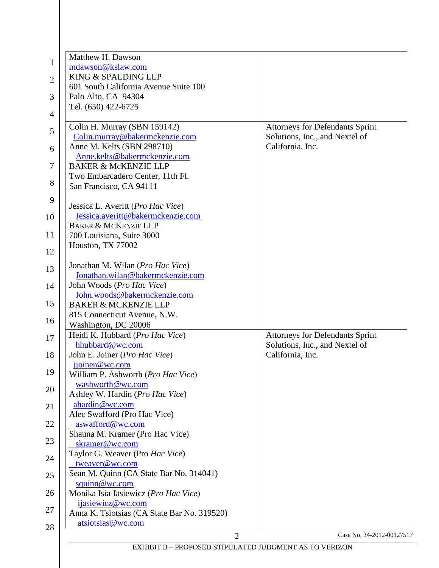|                | $\overline{2}$<br>EXHIBIT B - PROPOSED STIPULATED JUDGMENT AS TO VERIZON |                                                    |
|----------------|--------------------------------------------------------------------------|----------------------------------------------------|
| 28             | atsiotsias@wc.com                                                        | Case No. 34-2012-00127517                          |
| 27             | Anna K. Tsiotsias (CA State Bar No. 319520)                              |                                                    |
|                | ijasiewicz@wc.com                                                        |                                                    |
| 26             | squinn@wc.com<br>Monika Isia Jasiewicz (Pro Hac Vice)                    |                                                    |
| 25             | Sean M. Quinn (CA State Bar No. 314041)                                  |                                                    |
| 24             | tweaver@wc.com                                                           |                                                    |
|                | skramer@wc.com<br>Taylor G. Weaver (Pro Hac Vice)                        |                                                    |
| 23             | Shauna M. Kramer (Pro Hac Vice)                                          |                                                    |
| 22             | aswafford@wc.com                                                         |                                                    |
| 21             | ahardin@wc.com<br>Alec Swafford (Pro Hac Vice)                           |                                                    |
| 20             | Ashley W. Hardin (Pro Hac Vice)                                          |                                                    |
|                | washworth@wc.com                                                         |                                                    |
| 19             | jjoiner@wc.com<br>William P. Ashworth (Pro Hac Vice)                     |                                                    |
| 18             | John E. Joiner (Pro Hac Vice)                                            | California, Inc.                                   |
|                | hhubbard@wc.com                                                          | Solutions, Inc., and Nextel of                     |
| 17             | Heidi K. Hubbard (Pro Hac Vice)                                          | <b>Attorneys for Defendants Sprint</b>             |
| 16             | 815 Connecticut Avenue, N.W.<br>Washington, DC 20006                     |                                                    |
| 15             | <b>BAKER &amp; MCKENZIE LLP</b>                                          |                                                    |
|                | John.woods@bakermckenzie.com                                             |                                                    |
| 14             | John Woods (Pro Hac Vice)                                                |                                                    |
| 13             | Jonathan M. Wilan (Pro Hac Vice)<br>Jonathan.wilan@bakermckenzie.com     |                                                    |
| 12             |                                                                          |                                                    |
|                | Houston, TX 77002                                                        |                                                    |
| 11             | 700 Louisiana, Suite 3000                                                |                                                    |
| 10             | Jessica.averitt@bakermckenzie.com<br><b>BAKER &amp; MCKENZIE LLP</b>     |                                                    |
|                | Jessica L. Averitt (Pro Hac Vice)                                        |                                                    |
| 9              |                                                                          |                                                    |
| 8              | Two Embarcadero Center, 11th Fl.<br>San Francisco, CA 94111              |                                                    |
| 7              | <b>BAKER &amp; McKENZIE LLP</b>                                          |                                                    |
| 6              | Anne.kelts@bakermckenzie.com                                             |                                                    |
|                | Colin.murray@bakermckenzie.com<br>Anne M. Kelts (SBN 298710)             | Solutions, Inc., and Nextel of<br>California, Inc. |
| 5              | Colin H. Murray (SBN 159142)                                             | <b>Attorneys for Defendants Sprint</b>             |
| $\overline{4}$ |                                                                          |                                                    |
|                | Tel. (650) 422-6725                                                      |                                                    |
| 3              | 601 South California Avenue Suite 100<br>Palo Alto, CA 94304             |                                                    |
| $\overline{2}$ | KING & SPALDING LLP                                                      |                                                    |
| $\mathbf{1}$   | mdawson@kslaw.com                                                        |                                                    |
|                | Matthew H. Dawson                                                        |                                                    |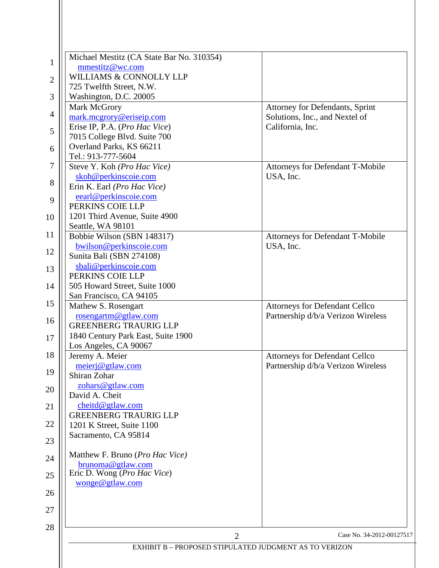|                | Michael Mestitz (CA State Bar No. 310354)              |                                       |
|----------------|--------------------------------------------------------|---------------------------------------|
| 1              | mmestitz@wc.com                                        |                                       |
| $\mathbf{2}$   | WILLIAMS & CONNOLLY LLP                                |                                       |
|                | 725 Twelfth Street, N.W.                               |                                       |
| 3              | Washington, D.C. 20005                                 |                                       |
|                | Mark McGrory                                           | Attorney for Defendants, Sprint       |
| $\overline{4}$ | mark.mcgrory@eriseip.com                               | Solutions, Inc., and Nextel of        |
| 5              | Erise IP, P.A. (Pro Hac Vice)                          | California, Inc.                      |
|                | 7015 College Blvd. Suite 700                           |                                       |
| 6              | Overland Parks, KS 66211                               |                                       |
|                | Tel.: 913-777-5604                                     |                                       |
| 7              | Steve Y. Koh (Pro Hac Vice)                            | Attorneys for Defendant T-Mobile      |
| 8              | skoh@perkinscoie.com                                   | USA, Inc.                             |
|                | Erin K. Earl (Pro Hac Vice)                            |                                       |
| 9              | eearl@perkinscoie.com                                  |                                       |
|                | PERKINS COIE LLP                                       |                                       |
| 10             | 1201 Third Avenue, Suite 4900                          |                                       |
| 11             | Seattle, WA 98101<br>Bobbie Wilson (SBN 148317)        | Attorneys for Defendant T-Mobile      |
|                | bwilson@perkinscoie.com                                | USA, Inc.                             |
| 12             | Sunita Bali (SBN 274108)                               |                                       |
|                | sbali@perkinscoie.com                                  |                                       |
| 13             | PERKINS COIE LLP                                       |                                       |
| 14             | 505 Howard Street, Suite 1000                          |                                       |
|                | San Francisco, CA 94105                                |                                       |
| 15             | Mathew S. Rosengart                                    | <b>Attorneys for Defendant Cellco</b> |
|                | rosengartm@gtlaw.com                                   | Partnership d/b/a Verizon Wireless    |
| 16             | <b>GREENBERG TRAURIG LLP</b>                           |                                       |
| 17             | 1840 Century Park East, Suite 1900                     |                                       |
|                | Los Angeles, CA 90067                                  |                                       |
| 18             | Jeremy A. Meier                                        | <b>Attorneys for Defendant Cellco</b> |
| 19             | meierj@gtlaw.com                                       | Partnership d/b/a Verizon Wireless    |
|                | Shiran Zohar                                           |                                       |
| 20             | zohars@gtlaw.com<br>David A. Cheit                     |                                       |
|                | cheitd@gtlaw.com                                       |                                       |
| 21             | <b>GREENBERG TRAURIG LLP</b>                           |                                       |
| 22             | 1201 K Street, Suite 1100                              |                                       |
|                | Sacramento, CA 95814                                   |                                       |
| 23             |                                                        |                                       |
|                | Matthew F. Bruno (Pro Hac Vice)                        |                                       |
| 24             | brunoma@gtlaw.com                                      |                                       |
| 25             | Eric D. Wong (Pro Hac Vice)                            |                                       |
|                | wonge@gtlaw.com                                        |                                       |
| 26             |                                                        |                                       |
| 27             |                                                        |                                       |
|                |                                                        |                                       |
| 28             |                                                        |                                       |
|                | $\overline{2}$                                         | Case No. 34-2012-00127517             |
|                | EXHIBIT B - PROPOSED STIPULATED JUDGMENT AS TO VERIZON |                                       |
|                |                                                        |                                       |